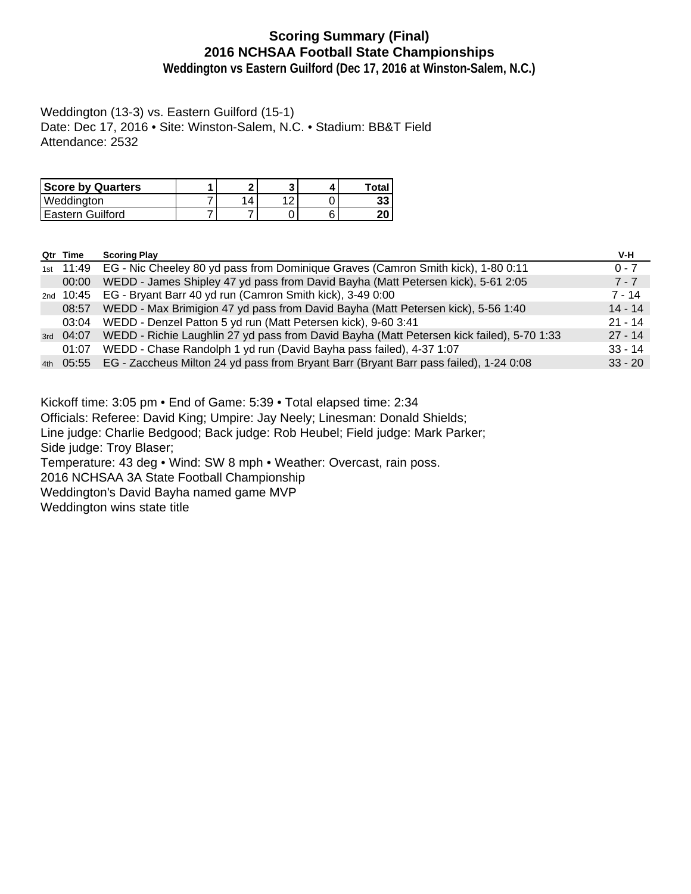## **Scoring Summary (Final) 2016 NCHSAA Football State Championships**

**Weddington vs Eastern Guilford (Dec 17, 2016 at Winston-Salem, N.C.)**

Weddington (13-3) vs. Eastern Guilford (15-1) Date: Dec 17, 2016 • Site: Winston-Salem, N.C. • Stadium: BB&T Field Attendance: 2532

| <b>Score by Quarters</b> | ິ |     | Total |
|--------------------------|---|-----|-------|
| Weddington               | 4 | a r | 33    |
| 'Eastern Guilford        |   |     | 20    |

| Qtr Time             | <b>Scoring Play</b>                                                                             | V-H       |
|----------------------|-------------------------------------------------------------------------------------------------|-----------|
| <sub>1st</sub> 11:49 | EG - Nic Cheeley 80 yd pass from Dominique Graves (Camron Smith kick), 1-80 0:11                | $0 - 7$   |
| 00:00                | WEDD - James Shipley 47 yd pass from David Bayha (Matt Petersen kick), 5-61 2:05                | $7 - 7$   |
| <sub>2nd</sub> 10:45 | EG - Bryant Barr 40 yd run (Camron Smith kick), 3-49 0:00                                       | 7 - 14    |
| 08:57                | WEDD - Max Brimigion 47 yd pass from David Bayha (Matt Petersen kick), 5-56 1:40                | $14 - 14$ |
| 03:04                | WEDD - Denzel Patton 5 yd run (Matt Petersen kick), 9-60 3:41                                   | $21 - 14$ |
| 3rd 04:07            | WEDD - Richie Laughlin 27 yd pass from David Bayha (Matt Petersen kick failed), 5-70 1:33       | $27 - 14$ |
| 01:07                | WEDD - Chase Randolph 1 yd run (David Bayha pass failed), 4-37 1:07                             | $33 - 14$ |
|                      | 4th 05:55 EG - Zaccheus Milton 24 yd pass from Bryant Barr (Bryant Barr pass failed), 1-24 0:08 | $33 - 20$ |

Kickoff time: 3:05 pm • End of Game: 5:39 • Total elapsed time: 2:34

Officials: Referee: David King; Umpire: Jay Neely; Linesman: Donald Shields;

Line judge: Charlie Bedgood; Back judge: Rob Heubel; Field judge: Mark Parker;

Side judge: Troy Blaser;

Temperature: 43 deg • Wind: SW 8 mph • Weather: Overcast, rain poss.

2016 NCHSAA 3A State Football Championship

Weddington's David Bayha named game MVP

Weddington wins state title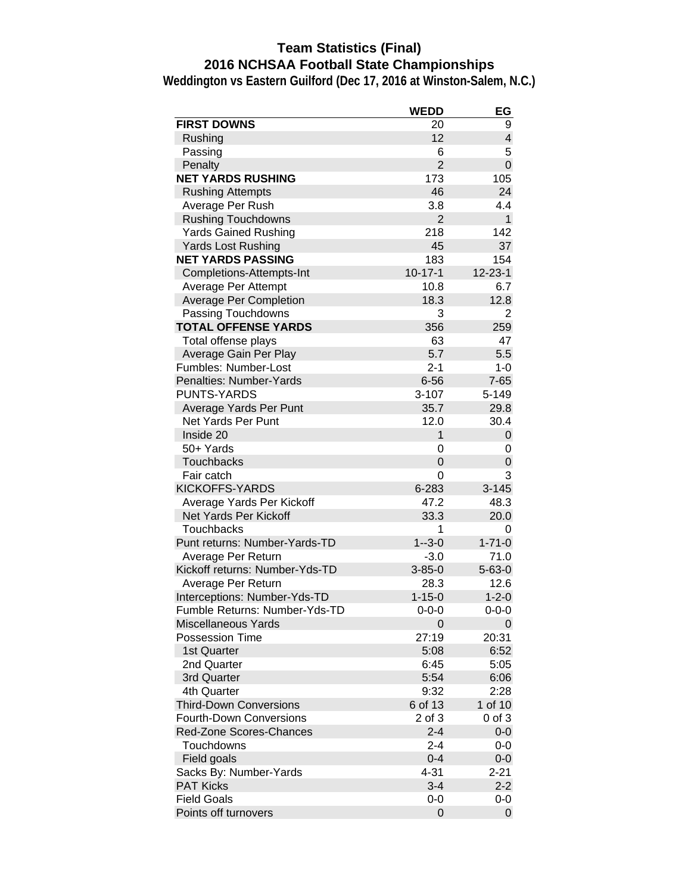## **Team Statistics (Final) 2016 NCHSAA Football State Championships**

|                                | <b>WEDD</b>    | EG                      |
|--------------------------------|----------------|-------------------------|
| <b>FIRST DOWNS</b>             | 20             | 9                       |
| Rushing                        | 12             | $\overline{\mathbf{4}}$ |
| Passing                        | 6              | 5                       |
| Penalty                        | $\overline{2}$ | $\mathbf 0$             |
| <b>NET YARDS RUSHING</b>       | 173            | 105                     |
| <b>Rushing Attempts</b>        | 46             | 24                      |
| Average Per Rush               | 3.8            | 4.4                     |
| <b>Rushing Touchdowns</b>      | $\overline{2}$ | $\mathbf{1}$            |
| <b>Yards Gained Rushing</b>    | 218            | 142                     |
| <b>Yards Lost Rushing</b>      | 45             | 37                      |
| <b>NET YARDS PASSING</b>       | 183            | 154                     |
| Completions-Attempts-Int       | $10 - 17 - 1$  | $12 - 23 - 1$           |
| Average Per Attempt            | 10.8           | 6.7                     |
| <b>Average Per Completion</b>  | 18.3           | 12.8                    |
| Passing Touchdowns             | 3              | $\overline{2}$          |
| <b>TOTAL OFFENSE YARDS</b>     | 356            | 259                     |
| Total offense plays            | 63             | 47                      |
| Average Gain Per Play          | 5.7            | 5.5                     |
| Fumbles: Number-Lost           | $2 - 1$        | $1 - 0$                 |
| <b>Penalties: Number-Yards</b> | $6 - 56$       | $7 - 65$                |
| <b>PUNTS-YARDS</b>             | $3 - 107$      | 5-149                   |
| Average Yards Per Punt         | 35.7           | 29.8                    |
| Net Yards Per Punt             | 12.0           | 30.4                    |
| Inside 20                      | $\mathbf{1}$   | 0                       |
| 50+ Yards                      | 0              | 0                       |
| <b>Touchbacks</b>              | $\Omega$       | 0                       |
| Fair catch                     | 0              | 3                       |
| <b>KICKOFFS-YARDS</b>          | 6-283          | $3 - 145$               |
| Average Yards Per Kickoff      | 47.2           | 48.3                    |
| Net Yards Per Kickoff          | 33.3           | 20.0                    |
| Touchbacks                     | 1              | 0                       |
| Punt returns: Number-Yards-TD  | $1 - 3 - 0$    | $1 - 71 - 0$            |
| Average Per Return             | $-3.0$         | 71.0                    |
| Kickoff returns: Number-Yds-TD | $3 - 85 - 0$   | $5 - 63 - 0$            |
| Average Per Return             | 28.3           | 12.6                    |
| Interceptions: Number-Yds-TD   | $1 - 15 - 0$   | $1 - 2 - 0$             |
| Fumble Returns: Number-Yds-TD  | $0 - 0 - 0$    | $0 - 0 - 0$             |
| Miscellaneous Yards            | 0              | 0                       |
| <b>Possession Time</b>         | 27:19          | 20:31                   |
| 1st Quarter                    | 5:08           | 6:52                    |
| 2nd Quarter                    | 6:45           | 5:05                    |
| 3rd Quarter                    | 5:54           | 6:06                    |
| 4th Quarter                    | 9:32           | 2:28                    |
| <b>Third-Down Conversions</b>  | 6 of 13        | 1 of 10                 |
| <b>Fourth-Down Conversions</b> | 2 of 3         | 0 of 3                  |
| Red-Zone Scores-Chances        | $2 - 4$        | $0-0$                   |
| Touchdowns                     | $2 - 4$        | $0-0$                   |
| Field goals                    | $0 - 4$        | $0-0$                   |
| Sacks By: Number-Yards         | $4 - 31$       | $2 - 21$                |
| <b>PAT Kicks</b>               | $3 - 4$        | $2 - 2$                 |
| <b>Field Goals</b>             | 0-0            | 0-0                     |
| Points off turnovers           | 0              | 0                       |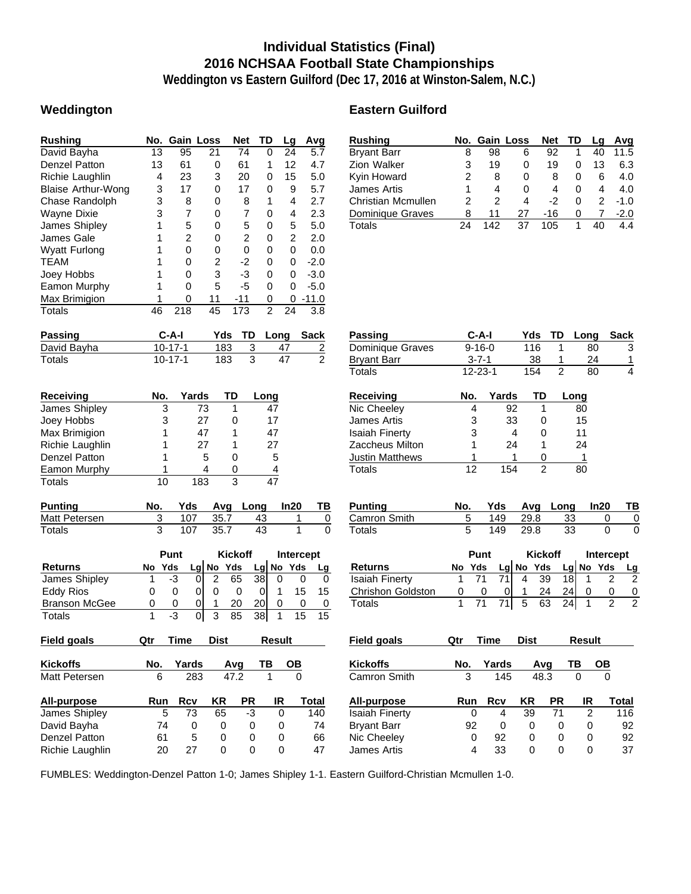### **Individual Statistics (Final) 2016 NCHSAA Football State Championships**

**Weddington vs Eastern Guilford (Dec 17, 2016 at Winston-Salem, N.C.)**

#### **Weddington Eastern Guilford**

| <b>Rushing</b>            | No. |               |                | Gain Loss | <b>Net</b>     |                | TD              | Lg             | Avg         |                |
|---------------------------|-----|---------------|----------------|-----------|----------------|----------------|-----------------|----------------|-------------|----------------|
| David Bayha               | 13  | 95            |                | 21        | 74             |                | 0               | 24             | 5.7         |                |
| <b>Denzel Patton</b>      | 13  | 61            |                | 0         | 61             |                | 1               | 12             | 4.7         |                |
| Richie Laughlin           | 4   | 23            |                | 3         | 20             |                | 0               | 15             | 5.0         |                |
| <b>Blaise Arthur-Wong</b> | 3   |               | 17             | 0         | 17             |                | 0               | 9              | 5.7         |                |
| Chase Randolph            | 3   |               | 8              | 0         |                | 8              | 1               | 4              | 2.7         |                |
| <b>Wayne Dixie</b>        | 3   |               | 7              | 0         |                | 7              | 0               | 4              | 2.3         |                |
| James Shipley             | 1   |               | 5              | 0         |                | 5              | 0               | 5              | 5.0         |                |
| James Gale                | 1   |               | $\overline{c}$ | 0         |                | 2              | 0               | $\overline{c}$ | 2.0         |                |
| <b>Wyatt Furlong</b>      | 1   |               | $\overline{0}$ | 0         |                | 0              | 0               | 0              | 0.0         |                |
| <b>TEAM</b>               | 1   |               | 0              | 2         |                | $-2$           | 0               | 0              | $-2.0$      |                |
| Joey Hobbs                | 1   |               | 0              | 3         |                | -3             | 0               | 0              | $-3.0$      |                |
| Eamon Murphy              | 1   |               | 0              | 5         | $-5$           |                | 0               | 0              | $-5.0$      |                |
| Max Brimigion             | 1   |               | 0              | 11        | $-11$          |                | 0               | 0              | $-11.0$     |                |
| <b>Totals</b>             | 46  | 218           |                | 45        | 173            |                | $\overline{2}$  | 24             | 3.8         |                |
| <b>Passing</b>            |     | C-A-I         |                | Yds       |                | TD             | Long            |                | <b>Sack</b> |                |
| David Bayha               |     | $10 - 17 - 1$ |                |           | 183            | 3              |                 | 47             |             | $\frac{2}{2}$  |
| <b>Totals</b>             |     | $10 - 17 - 1$ |                |           | 183            | $\overline{3}$ |                 | 47             |             |                |
| Receiving                 | No. |               | Yards          |           | TD             |                | Long            |                |             |                |
| James Shipley             |     | 3             |                | 73        | 1              |                | 47              |                |             |                |
| Joey Hobbs                |     | 3             |                | 27        | 0              |                | 17              |                |             |                |
| Max Brimigion             |     | 1             |                | 47        | 1              |                | 47              |                |             |                |
| Richie Laughlin           |     | 1             |                | 27        | 1              |                | 27              |                |             |                |
| <b>Denzel Patton</b>      |     | 1             |                | 5         | 0              |                | 5               |                |             |                |
| Eamon Murphy              |     | 1             |                | 4         | 0              |                | 4               |                |             |                |
| <b>Totals</b>             | 10  |               | 183            |           | 3              |                | $\overline{47}$ |                |             |                |
| <b>Punting</b>            | No. |               | Yds            | Avg       |                | Long           |                 | In20           |             | ΤВ             |
| Matt Petersen             | 3   |               | 107            | 35.7      |                | 43             |                 | 1              |             | $\overline{0}$ |
| Totals                    | 3   |               | 107            | 35.7      |                | 43             |                 | 1              |             | $\mathbf 0$    |
|                           |     | Punt          |                |           | <b>Kickoff</b> |                |                 |                | Intercept   |                |
| <b>Returns</b>            | No  | Yds           |                | Lg No     | Yds            |                | Lg No           | Yds            |             | Lg             |
| James Shipley             | 1   | -3            | 0              | 2         | 65             | 38             | 0               |                | 0           | 0              |
| <b>Eddy Rios</b>          | 0   | 0             | 0              | $\Omega$  | 0              | 0              | 1               |                | 15          | 15             |

Branson McGee 0 0 0 1 20 20 0 0 0 Totals 1 -3 0 3 85 38 1 15 15

| Rushing            |    | No. Gain Loss |    | <b>Net</b> | TD       | La | Avq    |
|--------------------|----|---------------|----|------------|----------|----|--------|
| Bryant Barr        | 8  | 98            | 6  | 92         |          | 40 | 11.5   |
| Zion Walker        | 3  | 19            | 0  | 19         |          | 13 | 6.3    |
| Kyin Howard        | 2  | 8             | 0  | 8          | $\Omega$ | 6  | 4.0    |
| James Artis        | 1  | 4             | 0  | 4          | O        | 4  | 4.0    |
| Christian Mcmullen | 2  | 2             | 4  | -2         | O        | 2  | $-1.0$ |
| Dominique Graves   | 8  | 11            | 27 | -16        | 0        |    | $-2.0$ |
| Totals             | 24 | 142           | 37 | 105        |          |    |        |

| Passing          | $C-A-I$       | Yds | TD. | Long | Sack |
|------------------|---------------|-----|-----|------|------|
| Dominique Graves | $9 - 16 - 0$  | 116 |     | 80   |      |
| Bryant Barr      | $3 - 7 - 1$   | 38  |     | 24   |      |
| Totals           | $12 - 23 - 1$ | 154 |     | 80   | 4    |

| No. | Yards | TD | Long |
|-----|-------|----|------|
| 4   | 92    |    | 80   |
| 3   | 33    | 0  | 15   |
| 3   |       | 0  | 11   |
| 1   | 24    |    | 24   |
| 1   |       |    | 1    |
| 12  | 154   | 2  | 80   |
|     |       |    |      |

| Punting      | No. |          | Yds Avg Long In20 | <b>TB</b> |
|--------------|-----|----------|-------------------|-----------|
| Camron Smith |     | 149 29.8 | - 33              |           |
| Totals       |     | 149 29.8 | -33               |           |

|                   | Punt   | <b>Kickoff</b> |   |             |     | Intercept |             |    |
|-------------------|--------|----------------|---|-------------|-----|-----------|-------------|----|
| Returns           | No Yds |                |   | $Lg$ No Yds |     |           | $Lg$ No Yds | Lg |
| Isaiah Finerty    |        | 71 I           | 4 | -39         | 18I |           |             |    |
| Chrishon Goldston |        |                |   | 24          | 24I |           |             | 0  |
| Totals            |        | 71 I           | 5 | 63          | 24I |           |             |    |

| Field goals     | Qtr | Time  | <b>Dist</b> |           | Result |       | Field goals           | Qtr        | Time  | <b>Dist</b> |           | Result |       |
|-----------------|-----|-------|-------------|-----------|--------|-------|-----------------------|------------|-------|-------------|-----------|--------|-------|
| <b>Kickoffs</b> | No. | Yards |             | Ava       | ΓВ     | OΒ    | <b>Kickoffs</b>       | No.        | Yards |             | Ava       | ΓВ     | OΒ    |
| Matt Petersen   | 6   | 283   |             | 47.2      |        | 0     | Camron Smith          | 3          | 145   | 48.3        |           |        | 0     |
| All-purpose     | Run | Rcv   | ΚR          | <b>PR</b> | IR     | Total | All-purpose           | <b>Run</b> | Rcv   | KR          | <b>PR</b> | IR     | Total |
| James Shipley   | 5   | 73    | 65          | -3        | 0      | 140   | <b>Isaiah Finerty</b> | 0          | 4     | 39          | 71        |        | 116   |
| David Bayha     | 74  | 0     |             | 0         | 0      | 74    | <b>Bryant Barr</b>    | 92         | 0     | 0           |           |        | 92    |
| Denzel Patton   | 61  | 5     |             | 0         | 0      | 66    | Nic Cheeley           |            | 92    | 0           |           |        | 92    |
| Richie Laughlin | 20  | 27    |             |           | 0      | 47    | James Artis           | 4          | 33    | 0           |           |        | 37    |

FUMBLES: Weddington-Denzel Patton 1-0; James Shipley 1-1. Eastern Guilford-Christian Mcmullen 1-0.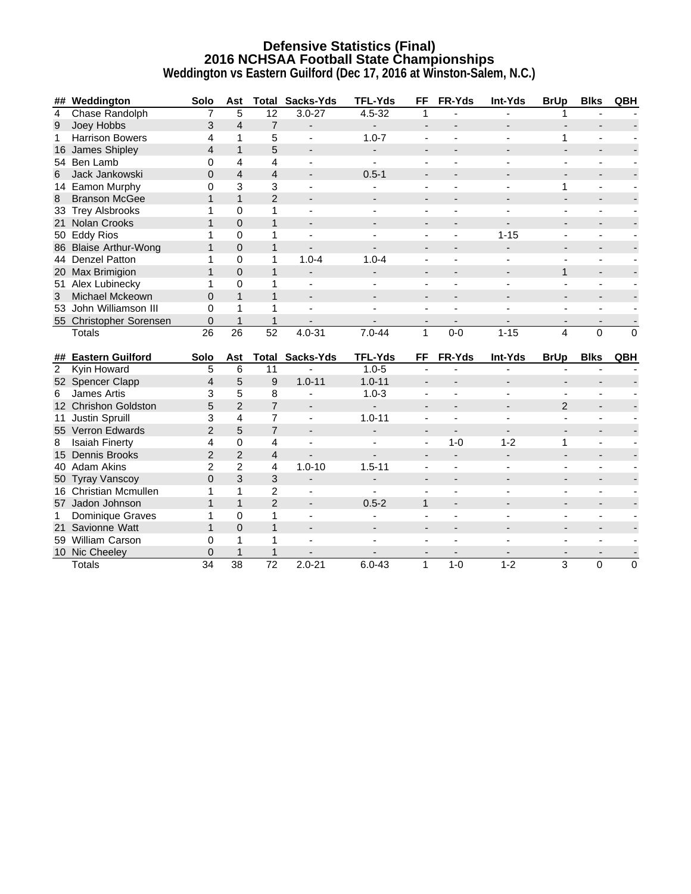## **Defensive Statistics (Final) 2016 NCHSAA Football State Championships**

|  |  | Weddington vs Eastern Guilford (Dec 17, 2016 at Winston-Salem, N.C.) |  |
|--|--|----------------------------------------------------------------------|--|
|--|--|----------------------------------------------------------------------|--|

| Chase Randolph<br>$4.5 - 32$<br>5<br>12<br>$3.0 - 27$<br>$\overline{4}$<br>7<br>1<br>1<br>$\overline{4}$<br>$\overline{7}$<br>Joey Hobbs<br>3<br>9<br>$\overline{\phantom{a}}$<br>$\overline{\phantom{a}}$<br>$\overline{\phantom{a}}$<br>$\mathbf{1}$<br>5<br><b>Harrison Bowers</b><br>4<br>$1.0 - 7$<br>$\mathbf{1}$<br>1<br>$\blacksquare$<br>$\blacksquare$<br>5<br>$\mathbf{1}$<br>James Shipley<br>$\overline{4}$<br>16<br>$\overline{\phantom{a}}$<br>$\overline{\phantom{a}}$<br>54 Ben Lamb<br>0<br>4<br>4<br>$\overline{4}$<br>$\overline{4}$<br>Jack Jankowski<br>$\overline{0}$<br>$0.5 - 1$<br>6<br>$\overline{\phantom{a}}$<br>3<br>3<br>14 Eamon Murphy<br>0<br>$\mathbf{1}$<br>$\mathbf{1}$<br>$\mathbf{1}$<br>$\overline{2}$<br>8<br><b>Branson McGee</b><br>$\blacksquare$<br>$\overline{\phantom{0}}$<br>33 Trey Alsbrooks<br>1<br>$\Omega$<br>1<br>÷,<br>$\overline{\phantom{0}}$ |             |
|--------------------------------------------------------------------------------------------------------------------------------------------------------------------------------------------------------------------------------------------------------------------------------------------------------------------------------------------------------------------------------------------------------------------------------------------------------------------------------------------------------------------------------------------------------------------------------------------------------------------------------------------------------------------------------------------------------------------------------------------------------------------------------------------------------------------------------------------------------------------------------------------------------|-------------|
|                                                                                                                                                                                                                                                                                                                                                                                                                                                                                                                                                                                                                                                                                                                                                                                                                                                                                                        |             |
|                                                                                                                                                                                                                                                                                                                                                                                                                                                                                                                                                                                                                                                                                                                                                                                                                                                                                                        |             |
|                                                                                                                                                                                                                                                                                                                                                                                                                                                                                                                                                                                                                                                                                                                                                                                                                                                                                                        |             |
|                                                                                                                                                                                                                                                                                                                                                                                                                                                                                                                                                                                                                                                                                                                                                                                                                                                                                                        |             |
|                                                                                                                                                                                                                                                                                                                                                                                                                                                                                                                                                                                                                                                                                                                                                                                                                                                                                                        |             |
|                                                                                                                                                                                                                                                                                                                                                                                                                                                                                                                                                                                                                                                                                                                                                                                                                                                                                                        |             |
|                                                                                                                                                                                                                                                                                                                                                                                                                                                                                                                                                                                                                                                                                                                                                                                                                                                                                                        |             |
|                                                                                                                                                                                                                                                                                                                                                                                                                                                                                                                                                                                                                                                                                                                                                                                                                                                                                                        |             |
|                                                                                                                                                                                                                                                                                                                                                                                                                                                                                                                                                                                                                                                                                                                                                                                                                                                                                                        |             |
| $\mathbf 0$<br>$\mathbf{1}$<br>$\mathbf{1}$<br>Nolan Crooks<br>21                                                                                                                                                                                                                                                                                                                                                                                                                                                                                                                                                                                                                                                                                                                                                                                                                                      |             |
| <b>Eddy Rios</b><br>$\Omega$<br>1<br>$1 - 15$<br>1<br>50<br>$\blacksquare$                                                                                                                                                                                                                                                                                                                                                                                                                                                                                                                                                                                                                                                                                                                                                                                                                             |             |
| $\mathbf 0$<br>$\mathbf{1}$<br>$\mathbf{1}$<br>86 Blaise Arthur-Wong<br>$\blacksquare$                                                                                                                                                                                                                                                                                                                                                                                                                                                                                                                                                                                                                                                                                                                                                                                                                 |             |
| 44 Denzel Patton<br>$\mathbf 0$<br>1<br>$1.0 - 4$<br>1<br>$1.0 - 4$                                                                                                                                                                                                                                                                                                                                                                                                                                                                                                                                                                                                                                                                                                                                                                                                                                    |             |
| $\mathbf{1}$<br>$\overline{0}$<br>$\mathbf{1}$<br>20 Max Brimigion<br>$\mathbf{1}$<br>$\blacksquare$<br>$\overline{\phantom{a}}$<br>$\overline{\phantom{a}}$<br>$\qquad \qquad \blacksquare$<br>$\overline{\phantom{a}}$                                                                                                                                                                                                                                                                                                                                                                                                                                                                                                                                                                                                                                                                               |             |
| $\mathbf 0$<br>$\mathbf{1}$<br>51 Alex Lubinecky<br>1<br>$\blacksquare$                                                                                                                                                                                                                                                                                                                                                                                                                                                                                                                                                                                                                                                                                                                                                                                                                                |             |
| $\mathbf{1}$<br>$\mathbf{1}$<br>Michael Mckeown<br>$\Omega$<br>3<br>$\overline{\phantom{a}}$<br>$\overline{\phantom{a}}$                                                                                                                                                                                                                                                                                                                                                                                                                                                                                                                                                                                                                                                                                                                                                                               |             |
| John Williamson III<br>$\mathbf 0$<br>1<br>1<br>53                                                                                                                                                                                                                                                                                                                                                                                                                                                                                                                                                                                                                                                                                                                                                                                                                                                     |             |
| 0<br>$\mathbf{1}$<br>$\mathbf{1}$<br>55 Christopher Sorensen<br>$\overline{\phantom{a}}$<br>$\overline{\phantom{a}}$                                                                                                                                                                                                                                                                                                                                                                                                                                                                                                                                                                                                                                                                                                                                                                                   |             |
| 26<br>26<br>52<br>$4.0 - 31$<br>$7.0 - 44$<br>$\mathbf{1}$<br>$0-0$<br>$1 - 15$<br>4<br>$\mathbf{0}$<br><b>Totals</b>                                                                                                                                                                                                                                                                                                                                                                                                                                                                                                                                                                                                                                                                                                                                                                                  | $\Omega$    |
| <b>Eastern Guilford</b><br>Sacks-Yds<br><b>TFL-Yds</b><br>FR-Yds<br>Int-Yds<br><b>BrUp</b><br><b>Blks</b><br>Solo<br>Ast<br>Total<br>FF<br>##                                                                                                                                                                                                                                                                                                                                                                                                                                                                                                                                                                                                                                                                                                                                                          | QBH         |
| $1.0 - 5$<br>2<br>Kyin Howard<br>5<br>6<br>11                                                                                                                                                                                                                                                                                                                                                                                                                                                                                                                                                                                                                                                                                                                                                                                                                                                          |             |
| 5<br>9<br>$1.0 - 11$<br>$1.0 - 11$<br>52 Spencer Clapp<br>$\overline{4}$<br>$\overline{\phantom{a}}$<br>$\qquad \qquad \blacksquare$                                                                                                                                                                                                                                                                                                                                                                                                                                                                                                                                                                                                                                                                                                                                                                   |             |
| 5<br>3<br>8<br>$1.0 - 3$<br><b>James Artis</b><br>6                                                                                                                                                                                                                                                                                                                                                                                                                                                                                                                                                                                                                                                                                                                                                                                                                                                    |             |
| 5<br>$\overline{2}$<br>$\overline{7}$<br>12 Chrishon Goldston<br>$\overline{2}$<br>$\blacksquare$<br>$\overline{\phantom{0}}$                                                                                                                                                                                                                                                                                                                                                                                                                                                                                                                                                                                                                                                                                                                                                                          |             |
| 3<br>Justin Spruill<br>$\overline{4}$<br>$\overline{7}$<br>$1.0 - 11$<br>11<br>$\blacksquare$<br>$\blacksquare$<br>$\blacksquare$<br>$\blacksquare$                                                                                                                                                                                                                                                                                                                                                                                                                                                                                                                                                                                                                                                                                                                                                    |             |
| 5<br>$\overline{2}$<br>$\overline{7}$<br>55 Verron Edwards<br>$\overline{\phantom{a}}$<br>$\overline{\phantom{a}}$                                                                                                                                                                                                                                                                                                                                                                                                                                                                                                                                                                                                                                                                                                                                                                                     |             |
| $1 - 0$<br>$1 - 2$<br>$\mathbf{1}$<br><b>Isaiah Finerty</b><br>4<br>$\mathbf 0$<br>4<br>8<br>ä,                                                                                                                                                                                                                                                                                                                                                                                                                                                                                                                                                                                                                                                                                                                                                                                                        |             |
| $\overline{2}$<br>$\overline{2}$<br>$\overline{4}$<br>15 Dennis Brooks<br>$\overline{a}$<br>$\blacksquare$<br>$\overline{\phantom{a}}$<br>$\blacksquare$                                                                                                                                                                                                                                                                                                                                                                                                                                                                                                                                                                                                                                                                                                                                               |             |
| $\overline{2}$<br>$\overline{2}$<br>$1.0 - 10$<br>40 Adam Akins<br>4<br>$1.5 - 11$                                                                                                                                                                                                                                                                                                                                                                                                                                                                                                                                                                                                                                                                                                                                                                                                                     |             |
| $\mathbf 0$<br>3<br>50 Tyray Vanscoy<br>$\mathfrak{B}$<br>$\overline{\phantom{a}}$<br>$\overline{a}$<br>$\blacksquare$<br>$\overline{\phantom{a}}$                                                                                                                                                                                                                                                                                                                                                                                                                                                                                                                                                                                                                                                                                                                                                     |             |
| $\overline{2}$<br>16 Christian Mcmullen<br>1<br>1<br>$\overline{a}$<br>$\sim$<br>$\blacksquare$<br>$\blacksquare$<br>$\overline{\phantom{a}}$                                                                                                                                                                                                                                                                                                                                                                                                                                                                                                                                                                                                                                                                                                                                                          |             |
| $\mathbf{1}$<br>$\overline{2}$<br>$\mathbf{1}$<br>$0.5 - 2$<br>57 Jadon Johnson<br>$\mathbf{1}$<br>$\blacksquare$                                                                                                                                                                                                                                                                                                                                                                                                                                                                                                                                                                                                                                                                                                                                                                                      |             |
| $\Omega$<br>Dominique Graves<br>1<br>$\mathbf{1}$<br>1<br>$\overline{\phantom{0}}$                                                                                                                                                                                                                                                                                                                                                                                                                                                                                                                                                                                                                                                                                                                                                                                                                     |             |
| $\mathbf{1}$<br>Savionne Watt<br>$\mathbf{1}$<br>$\mathbf 0$<br>21<br>$\blacksquare$<br>$\overline{\phantom{a}}$<br>$\overline{\phantom{a}}$                                                                                                                                                                                                                                                                                                                                                                                                                                                                                                                                                                                                                                                                                                                                                           |             |
| 0<br>1<br>$\mathbf{1}$<br>59 William Carson                                                                                                                                                                                                                                                                                                                                                                                                                                                                                                                                                                                                                                                                                                                                                                                                                                                            |             |
| 10 Nic Cheeley<br>$\mathbf{1}$<br>0<br>1<br>$\blacksquare$                                                                                                                                                                                                                                                                                                                                                                                                                                                                                                                                                                                                                                                                                                                                                                                                                                             |             |
| $\overline{38}$<br>$\overline{72}$<br>34<br>$2.0 - 21$<br>$6.0 - 43$<br>$\mathbf{1}$<br>$1-0$<br>$1 - 2$<br>3<br><b>Totals</b><br>0                                                                                                                                                                                                                                                                                                                                                                                                                                                                                                                                                                                                                                                                                                                                                                    | $\mathbf 0$ |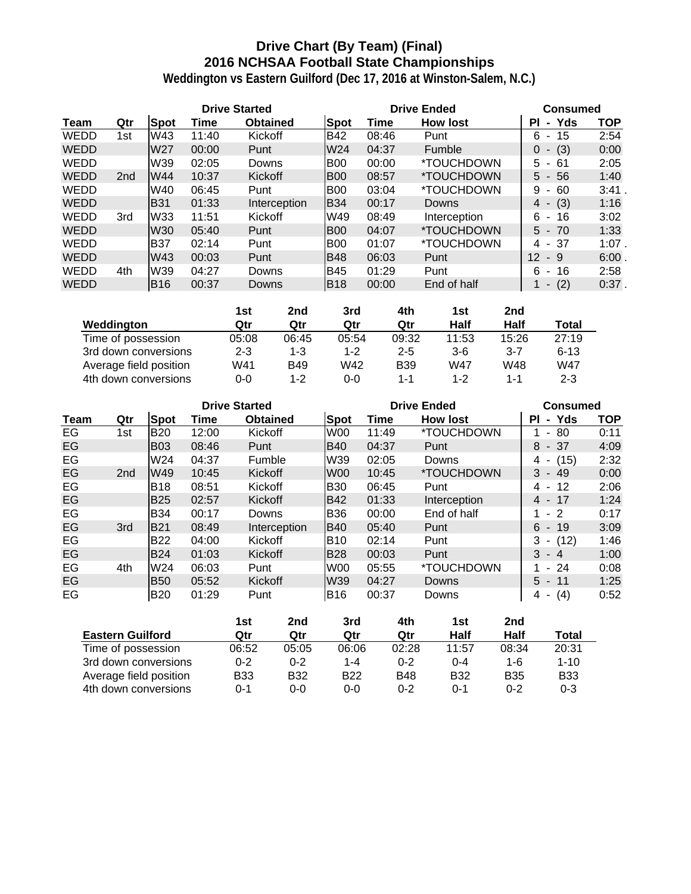### **Drive Chart (By Team) (Final) 2016 NCHSAA Football State Championships**

|             |     |                 |       | <b>Drive Started</b> |                 |       | <b>Drive Ended</b>       | <b>Consumed</b>                      |            |
|-------------|-----|-----------------|-------|----------------------|-----------------|-------|--------------------------|--------------------------------------|------------|
| Team        | Qtr | Spot            | Time  | <b>Obtained</b>      | <b>Spot</b>     | Time  | <b>How lost</b>          | Yds<br>ΡI<br>$\blacksquare$          | <b>TOP</b> |
| WEDD        | 1st | W43             | 11:40 | Kickoff              | <b>B42</b>      | 08:46 | Punt                     | 15<br>6<br>$\blacksquare$            | 2:54       |
| <b>WEDD</b> |     | W <sub>27</sub> | 00:00 | Punt                 | W <sub>24</sub> | 04:37 | Fumble                   | (3)<br>0<br>$\blacksquare$           | 0:00       |
| <b>WEDD</b> |     | W39             | 02:05 | Downs                | <b>B00</b>      | 00:00 | <i><b>*TOUCHDOWN</b></i> | 5.<br>-61<br>$\blacksquare$          | 2:05       |
| <b>WEDD</b> | 2nd | W44             | 10:37 | Kickoff              | <b>B00</b>      | 08:57 | <i><b>*TOUCHDOWN</b></i> | $5 - 56$                             | 1:40       |
| WEDD        |     | W40             | 06:45 | Punt                 | <b>B00</b>      | 03:04 | <i><b>*TOUCHDOWN</b></i> | 60<br>9                              | 3:41       |
| <b>WEDD</b> |     | <b>B31</b>      | 01:33 | Interception         | <b>B</b> 34     | 00:17 | Downs                    | (3)<br>4<br>$\overline{\phantom{a}}$ | 1:16       |
| WEDD        | 3rd | W33             | 11:51 | Kickoff              | W49             | 08:49 | Interception             | 6.<br>16<br>$\sim$                   | 3:02       |
| <b>WEDD</b> |     | <b>W30</b>      | 05:40 | Punt                 | B <sub>00</sub> | 04:07 | <i><b>*TOUCHDOWN</b></i> | $5 - 70$                             | 1:33       |
| <b>WEDD</b> |     | <b>B37</b>      | 02:14 | Punt                 | B <sub>00</sub> | 01:07 | *TOUCHDOWN               | 4 - 37                               | $1:07$ .   |
| <b>WEDD</b> |     | W43             | 00:03 | Punt                 | <b>B48</b>      | 06:03 | Punt                     | $12 \overline{ }$<br>-9              | 6:00.      |
| <b>WEDD</b> | 4th | W39             | 04:27 | Downs                | <b>B45</b>      | 01:29 | Punt                     | 6<br>16<br>$\blacksquare$            | 2:58       |
| <b>WEDD</b> |     | IB16            | 00:37 | Downs                | <b>B18</b>      | 00:00 | End of half              | (2)<br>$\overline{\phantom{a}}$      | $0:37$ .   |

|                        | 1st     | 2nd        | 3rd     | 4th        | 1st     | 2nd     |          |
|------------------------|---------|------------|---------|------------|---------|---------|----------|
| Weddington             | Qtr     | Qtr        | Qtr     | Qtr        | Half    | Half    | Total    |
| Time of possession     | 05:08   | 06:45      | 05:54   | 09:32      | 11:53   | 15:26   | 27:19    |
| 3rd down conversions   | $2 - 3$ | 1-3        | $1 - 2$ | $2 - 5$    | $3-6$   | $3 - 7$ | $6 - 13$ |
| Average field position | W41     | <b>B49</b> | W42     | <b>B39</b> | W47     | W48     | W47      |
| 4th down conversions   | 0-0     | 1-2        | 0-0     | $1 - 1$    | $1 - 2$ | 1-1     | $2 - 3$  |

|      |                 |             | <b>Drive Started</b> |                 |             |       | <b>Drive Ended</b>       | <b>Consumed</b>             |      |
|------|-----------------|-------------|----------------------|-----------------|-------------|-------|--------------------------|-----------------------------|------|
| Team | Qtr             | <b>Spot</b> | Time                 | <b>Obtained</b> | Spot        | Time  | <b>How lost</b>          | - Yds<br><b>PI</b>          | TOP  |
| EG   | 1st             | <b>B20</b>  | 12:00                | Kickoff         | W00         | 11:49 | *TOUCHDOWN               | -80<br>٠                    | 0:11 |
| EG   |                 | <b>B03</b>  | 08:46                | Punt            | <b>B40</b>  | 04:37 | Punt                     | 8<br>- 37                   | 4:09 |
| EG   |                 | W24         | 04:37                | Fumble          | W39         | 02:05 | Downs                    | (15)<br>4<br>$\blacksquare$ | 2:32 |
| EG   | 2 <sub>nd</sub> | W49         | 10:45                | Kickoff         | <b>W00</b>  | 10:45 | *TOUCHDOWN               | 3<br>- 49                   | 0:00 |
| EG   |                 | <b>B</b> 18 | 08:51                | Kickoff         | <b>B</b> 30 | 06:45 | Punt                     | 12<br>4<br>$\blacksquare$   | 2:06 |
| EG   |                 | <b>B25</b>  | 02:57                | <b>Kickoff</b>  | <b>B42</b>  | 01:33 | Interception             | 4 -<br>-17                  | 1:24 |
| EG   |                 | <b>B34</b>  | 00:17                | Downs           | <b>B36</b>  | 00:00 | End of half              | $-2$                        | 0:17 |
| EG   | 3rd             | <b>B21</b>  | 08:49                | Interception    | IB40        | 05:40 | Punt                     | 6<br>$-19$                  | 3:09 |
| EG   |                 | <b>B22</b>  | 04:00                | Kickoff         | IB10        | 02:14 | Punt                     | 3<br>(12)<br>۰.             | 1:46 |
| EG   |                 | <b>B24</b>  | 01:03                | <b>Kickoff</b>  | <b>B28</b>  | 00:03 | Punt                     | 3<br>- 4                    | 1:00 |
| EG   | 4th             | W24         | 06:03                | Punt            | W00         | 05:55 | <i><b>*TOUCHDOWN</b></i> | -24<br>$\sim$               | 0:08 |
| EG   |                 | <b>B50</b>  | 05:52                | Kickoff         | W39         | 04:27 | Downs                    | 5.<br>-11<br>$\sim$         | 1:25 |
| EG   |                 | <b>B20</b>  | 01:29                | Punt            | IB16        | 00:37 | Downs                    | (4)<br>4<br>$\blacksquare$  | 0:52 |

|                         | 1st        | 2nd        | 3rd        | 4th        | 1st        | 2nd        |            |
|-------------------------|------------|------------|------------|------------|------------|------------|------------|
| <b>Eastern Guilford</b> | Qtr        | Qtr        | Qtr        | Qtr        | Half       | Half       | Total      |
| Time of possession      | 06:52      | 05:05      | 06:06      | 02:28      | 11:57      | 08:34      | 20:31      |
| 3rd down conversions    | $0 - 2$    | $0 - 2$    | 1-4        | $0 - 2$    | $0 - 4$    | 1-6        | $1 - 10$   |
| Average field position  | <b>B33</b> | <b>B32</b> | <b>B22</b> | <b>B48</b> | <b>B32</b> | <b>B35</b> | <b>B33</b> |
| 4th down conversions    | 0-1        | $0 - 0$    | 0-0        | $0 - 2$    | $0 - 1$    | $0 - 2$    | $0 - 3$    |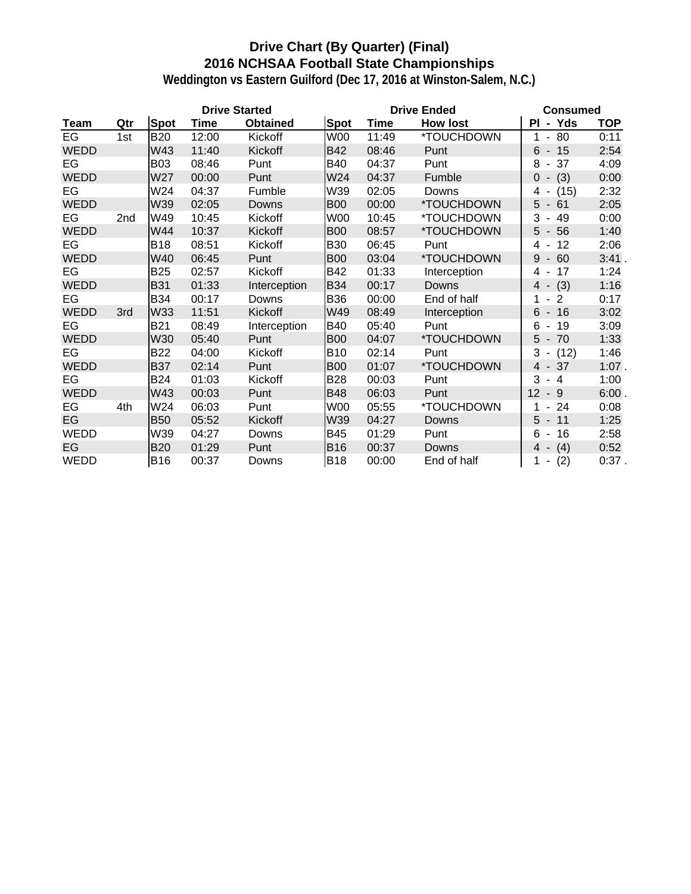### **Drive Chart (By Quarter) (Final) 2016 NCHSAA Football State Championships**

|             |     |            |       | <b>Drive Started</b> |             |       | <b>Drive Ended</b>       | <b>Consumed</b>                      |            |
|-------------|-----|------------|-------|----------------------|-------------|-------|--------------------------|--------------------------------------|------------|
| Team        | Qtr | Spot       | Time  | <b>Obtained</b>      | Spot        | Time  | <b>How lost</b>          | - Yds<br>ΡI                          | <b>TOP</b> |
| EG          | 1st | <b>B20</b> | 12:00 | Kickoff              | W00         | 11:49 | *TOUCHDOWN               | $-80$<br>1                           | 0:11       |
| <b>WEDD</b> |     | W43        | 11:40 | Kickoff              | <b>B42</b>  | 08:46 | Punt                     | $6 - 15$                             | 2:54       |
| EG          |     | <b>B03</b> | 08:46 | Punt                 | <b>B40</b>  | 04:37 | Punt                     | 8<br>37<br>$\blacksquare$            | 4:09       |
| <b>WEDD</b> |     | W27        | 00:00 | Punt                 | W24         | 04:37 | Fumble                   | $0 - (3)$                            | 0:00       |
| EG          |     | W24        | 04:37 | Fumble               | W39         | 02:05 | Downs                    | 4 -<br>(15)                          | 2:32       |
| <b>WEDD</b> |     | W39        | 02:05 | Downs                | <b>B00</b>  | 00:00 | *TOUCHDOWN               | 5<br>$-61$                           | 2:05       |
| EG          | 2nd | W49        | 10:45 | Kickoff              | <b>W00</b>  | 10:45 | *TOUCHDOWN               | 3<br>49<br>$\blacksquare$            | 0:00       |
| <b>WEDD</b> |     | W44        | 10:37 | Kickoff              | <b>B00</b>  | 08:57 | *TOUCHDOWN               | 5<br>$-56$                           | 1:40       |
| EG          |     | <b>B18</b> | 08:51 | Kickoff              | <b>B30</b>  | 06:45 | Punt                     | $12 \,$<br>4                         | 2:06       |
| <b>WEDD</b> |     | W40        | 06:45 | Punt                 | <b>B00</b>  | 03:04 | *TOUCHDOWN               | 9<br>60<br>$\blacksquare$            | 3:41.      |
| EG          |     | <b>B25</b> | 02:57 | Kickoff              | B42         | 01:33 | Interception             | 17<br>4                              | 1:24       |
| <b>WEDD</b> |     | <b>B31</b> | 01:33 | Interception         | <b>B</b> 34 | 00:17 | Downs                    | $4 - (3)$                            | 1:16       |
| EG          |     | <b>B34</b> | 00:17 | Downs                | <b>B36</b>  | 00:00 | End of half              | 1<br>2<br>$\overline{\phantom{a}}$   | 0:17       |
| <b>WEDD</b> | 3rd | W33        | 11:51 | Kickoff              | W49         | 08:49 | Interception             | $-16$<br>6                           | 3:02       |
| EG          |     | <b>B21</b> | 08:49 | Interception         | <b>B40</b>  | 05:40 | Punt                     | 6<br>-19<br>$\overline{\phantom{a}}$ | 3:09       |
| <b>WEDD</b> |     | W30        | 05:40 | Punt                 | <b>B00</b>  | 04:07 | *TOUCHDOWN               | 5<br>70<br>$\sim$                    | 1:33       |
| EG          |     | B22        | 04:00 | Kickoff              | <b>B10</b>  | 02:14 | Punt                     | $3 - (12)$                           | 1:46       |
| <b>WEDD</b> |     | <b>B37</b> | 02:14 | Punt                 | <b>B00</b>  | 01:07 | <i><b>*TOUCHDOWN</b></i> | $4 - 37$                             | $1:07$ .   |
| EG          |     | <b>B24</b> | 01:03 | Kickoff              | <b>B28</b>  | 00:03 | Punt                     | 3<br>$-4$                            | 1:00       |
| <b>WEDD</b> |     | W43        | 00:03 | Punt                 | <b>B48</b>  | 06:03 | Punt                     | 12<br>$-9$                           | 6:00.      |
| EG          | 4th | W24        | 06:03 | Punt                 | <b>W00</b>  | 05:55 | *TOUCHDOWN               | 24<br>$\blacksquare$                 | 0:08       |
| EG          |     | <b>B50</b> | 05:52 | Kickoff              | W39         | 04:27 | Downs                    | $5 - 11$                             | 1:25       |
| WEDD        |     | W39        | 04:27 | Downs                | <b>B45</b>  | 01:29 | Punt                     | 6<br>16<br>$\blacksquare$            | 2:58       |
| EG          |     | <b>B20</b> | 01:29 | Punt                 | <b>B16</b>  | 00:37 | Downs                    | (4)<br>$4 -$                         | 0:52       |
| <b>WEDD</b> |     | <b>B16</b> | 00:37 | Downs                | <b>B18</b>  | 00:00 | End of half              | (2)<br>1.                            | $0:37$ .   |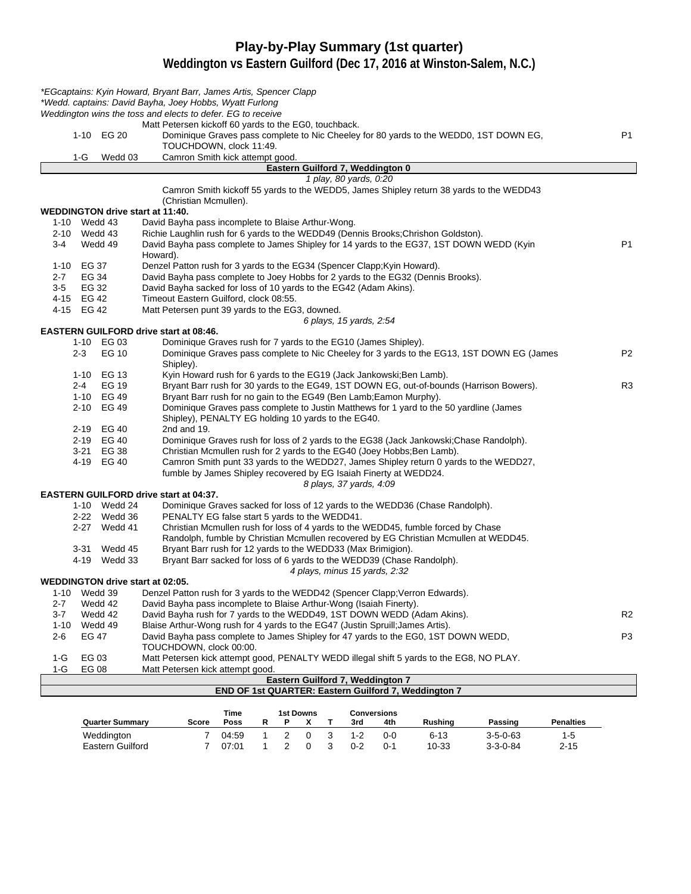#### **Play-by-Play Summary (1st quarter)**

|         |                          |                          | *EGcaptains: Kyin Howard, Bryant Barr, James Artis, Spencer Clapp                                                                                                  |                |
|---------|--------------------------|--------------------------|--------------------------------------------------------------------------------------------------------------------------------------------------------------------|----------------|
|         |                          |                          | *Wedd. captains: David Bayha, Joey Hobbs, Wyatt Furlong                                                                                                            |                |
|         |                          |                          | Weddington wins the toss and elects to defer. EG to receive                                                                                                        |                |
|         |                          |                          | Matt Petersen kickoff 60 yards to the EG0, touchback.                                                                                                              |                |
|         |                          | 1-10 EG 20               | Dominique Graves pass complete to Nic Cheeley for 80 yards to the WEDD0, 1ST DOWN EG,                                                                              | P <sub>1</sub> |
|         |                          |                          | TOUCHDOWN, clock 11:49.                                                                                                                                            |                |
|         | 1-G                      | Wedd 03                  | Camron Smith kick attempt good.<br>Eastern Guilford 7, Weddington 0                                                                                                |                |
|         |                          |                          | 1 play, 80 yards, 0:20                                                                                                                                             |                |
|         |                          |                          | Camron Smith kickoff 55 yards to the WEDD5, James Shipley return 38 yards to the WEDD43                                                                            |                |
|         |                          |                          | (Christian Mcmullen).                                                                                                                                              |                |
|         |                          |                          | <b>WEDDINGTON drive start at 11:40.</b>                                                                                                                            |                |
|         | 1-10 Wedd 43             |                          | David Bayha pass incomplete to Blaise Arthur-Wong.                                                                                                                 |                |
|         | 2-10 Wedd 43             |                          | Richie Laughlin rush for 6 yards to the WEDD49 (Dennis Brooks; Chrishon Goldston).                                                                                 |                |
| 3-4     |                          | Wedd 49                  | David Bayha pass complete to James Shipley for 14 yards to the EG37, 1ST DOWN WEDD (Kyin                                                                           | P <sub>1</sub> |
|         |                          |                          | Howard).                                                                                                                                                           |                |
|         | 1-10 EG 37               |                          | Denzel Patton rush for 3 yards to the EG34 (Spencer Clapp; Kyin Howard).                                                                                           |                |
| $2 - 7$ | EG 34                    |                          | David Bayha pass complete to Joey Hobbs for 2 yards to the EG32 (Dennis Brooks).                                                                                   |                |
| $3-5$   | EG 32                    |                          | David Bayha sacked for loss of 10 yards to the EG42 (Adam Akins).                                                                                                  |                |
|         | 4-15 EG 42<br>4-15 EG 42 |                          | Timeout Eastern Guilford, clock 08:55.                                                                                                                             |                |
|         |                          |                          | Matt Petersen punt 39 yards to the EG3, downed.<br>6 plays, 15 yards, 2:54                                                                                         |                |
|         |                          |                          | <b>EASTERN GUILFORD drive start at 08:46.</b>                                                                                                                      |                |
|         |                          | 1-10 EG 03               | Dominique Graves rush for 7 yards to the EG10 (James Shipley).                                                                                                     |                |
|         | $2 - 3$                  | EG 10                    | Dominique Graves pass complete to Nic Cheeley for 3 yards to the EG13, 1ST DOWN EG (James                                                                          | P <sub>2</sub> |
|         |                          |                          | Shipley).                                                                                                                                                          |                |
|         |                          | 1-10 EG 13               | Kyin Howard rush for 6 yards to the EG19 (Jack Jankowski; Ben Lamb).                                                                                               |                |
|         | 2-4                      | <b>EG 19</b>             | Bryant Barr rush for 30 yards to the EG49, 1ST DOWN EG, out-of-bounds (Harrison Bowers).                                                                           | R <sub>3</sub> |
|         |                          | 1-10 EG 49               | Bryant Barr rush for no gain to the EG49 (Ben Lamb; Eamon Murphy).                                                                                                 |                |
|         |                          | 2-10 EG 49               | Dominique Graves pass complete to Justin Matthews for 1 yard to the 50 yardline (James                                                                             |                |
|         |                          |                          | Shipley), PENALTY EG holding 10 yards to the EG40.                                                                                                                 |                |
|         |                          | 2-19 EG 40<br>2-19 EG 40 | 2nd and 19.                                                                                                                                                        |                |
|         |                          | 3-21 EG 38               | Dominique Graves rush for loss of 2 yards to the EG38 (Jack Jankowski; Chase Randolph).<br>Christian Mcmullen rush for 2 yards to the EG40 (Joey Hobbs; Ben Lamb). |                |
|         |                          | 4-19 EG 40               | Camron Smith punt 33 yards to the WEDD27, James Shipley return 0 yards to the WEDD27,                                                                              |                |
|         |                          |                          | fumble by James Shipley recovered by EG Isaiah Finerty at WEDD24.                                                                                                  |                |
|         |                          |                          | 8 plays, 37 yards, 4:09                                                                                                                                            |                |
|         |                          |                          | <b>EASTERN GUILFORD drive start at 04:37.</b>                                                                                                                      |                |
|         |                          | 1-10 Wedd 24             | Dominique Graves sacked for loss of 12 yards to the WEDD36 (Chase Randolph).                                                                                       |                |
|         |                          | 2-22 Wedd 36             | PENALTY EG false start 5 yards to the WEDD41.                                                                                                                      |                |
|         |                          | 2-27 Wedd 41             | Christian Mcmullen rush for loss of 4 yards to the WEDD45, fumble forced by Chase                                                                                  |                |
|         |                          |                          | Randolph, fumble by Christian Mcmullen recovered by EG Christian Mcmullen at WEDD45.                                                                               |                |
|         |                          | 3-31 Wedd 45             | Bryant Barr rush for 12 yards to the WEDD33 (Max Brimigion).                                                                                                       |                |
|         |                          | 4-19 Wedd 33             | Bryant Barr sacked for loss of 6 yards to the WEDD39 (Chase Randolph).                                                                                             |                |
|         |                          |                          | 4 plays, minus 15 yards, 2:32<br><b>WEDDINGTON drive start at 02:05.</b>                                                                                           |                |
|         | 1-10 Wedd 39             |                          | Denzel Patton rush for 3 yards to the WEDD42 (Spencer Clapp; Verron Edwards).                                                                                      |                |
| 2-7     |                          | Wedd 42                  | David Bayha pass incomplete to Blaise Arthur-Wong (Isaiah Finerty).                                                                                                |                |
| 3-7     |                          | Wedd 42                  | David Bayha rush for 7 yards to the WEDD49, 1ST DOWN WEDD (Adam Akins).                                                                                            | R <sub>2</sub> |
| 1-10    |                          | Wedd 49                  | Blaise Arthur-Wong rush for 4 yards to the EG47 (Justin Spruill; James Artis).                                                                                     |                |
| 2-6     | EG 47                    |                          | David Bayha pass complete to James Shipley for 47 yards to the EG0, 1ST DOWN WEDD,                                                                                 | P3             |
|         |                          |                          | TOUCHDOWN, clock 00:00.                                                                                                                                            |                |
| 1-G     | EG 03                    |                          | Matt Petersen kick attempt good, PENALTY WEDD illegal shift 5 yards to the EG8, NO PLAY.                                                                           |                |
| 1-G     | EG 08                    |                          | Matt Petersen kick attempt good.                                                                                                                                   |                |
|         |                          |                          | Eastern Guilford 7, Weddington 7<br>END OF 1st QUARTER: Eastern Guilford 7, Weddington 7                                                                           |                |
|         |                          |                          |                                                                                                                                                                    |                |

|                        |       | Time  |  | 1st Downs |              |         | Conversions |          |                  |                  |
|------------------------|-------|-------|--|-----------|--------------|---------|-------------|----------|------------------|------------------|
| <b>Quarter Summary</b> | Score | Poss  |  |           |              | 3rd     | 4th         | Rushina  | Passing          | <b>Penalties</b> |
| Weddington             |       | 04:59 |  | $\Omega$  | $\mathbf{R}$ | $1 - 2$ | ი-ი         | $6 - 13$ | $3 - 5 - 0 - 63$ | $1-5$            |
| Eastern Guilford       |       | 07:01 |  |           | -3           | $0 - 2$ | $0 - 1$     | 10-33    | $3 - 3 - 0 - 84$ | $2 - 15$         |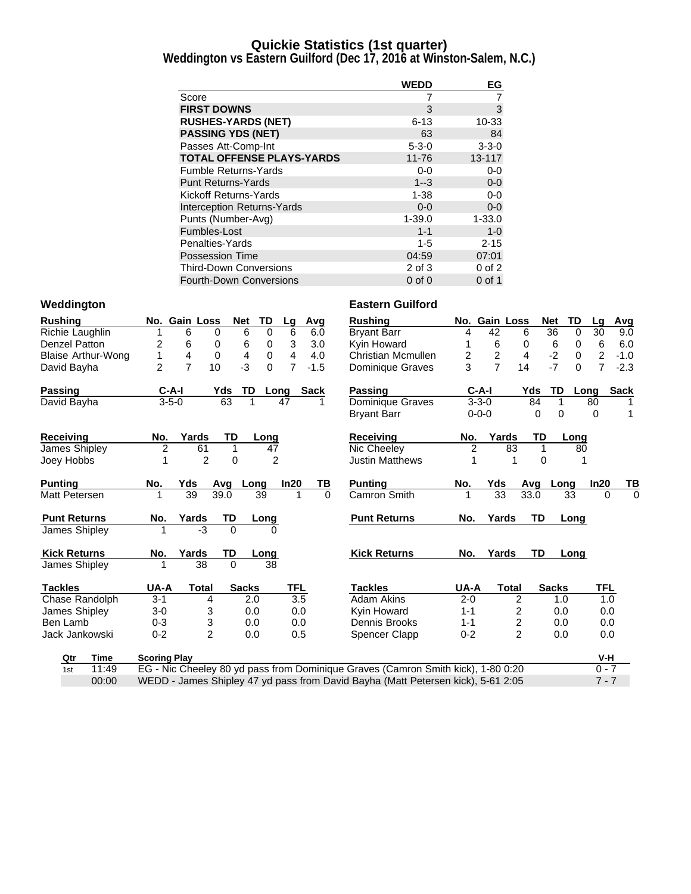#### **Quickie Statistics (1st quarter)**

**Weddington vs Eastern Guilford (Dec 17, 2016 at Winston-Salem, N.C.)**

|                                   | <b>WEDD</b> | EG          |
|-----------------------------------|-------------|-------------|
| Score                             |             |             |
| <b>FIRST DOWNS</b>                | 3           | 3           |
| <b>RUSHES-YARDS (NET)</b>         | $6 - 13$    | 10-33       |
| <b>PASSING YDS (NET)</b>          | 63          | 84          |
| Passes Att-Comp-Int               | $5 - 3 - 0$ | $3 - 3 - 0$ |
| <b>TOTAL OFFENSE PLAYS-YARDS</b>  | $11 - 76$   | 13-117      |
| <b>Fumble Returns-Yards</b>       | $0-0$       | $0-0$       |
| <b>Punt Returns-Yards</b>         | $1 - 3$     | $0-0$       |
| Kickoff Returns-Yards             | $1 - 38$    | $0-0$       |
| <b>Interception Returns-Yards</b> | $0 - 0$     | $0-0$       |
| Punts (Number-Avg)                | $1 - 39.0$  | $1 - 33.0$  |
| Fumbles-Lost                      | $1 - 1$     | $1 - 0$     |
| Penalties-Yards                   | $1 - 5$     | $2 - 15$    |
| <b>Possession Time</b>            | 04:59       | 07:01       |
| <b>Third-Down Conversions</b>     | 2 of 3      | $0$ of $2$  |
| <b>Fourth-Down Conversions</b>    | $0$ of $0$  | 0 of 1      |

| <b>Rushing</b>       |                           |                     | No. Gain Loss  |                | <b>Net</b><br>TD              | Lg             | Avg         | <b>Rushing</b>                                                                   |                | No. Gain Loss   |                  | Net          | <b>TD</b>   | La             | Avg         |
|----------------------|---------------------------|---------------------|----------------|----------------|-------------------------------|----------------|-------------|----------------------------------------------------------------------------------|----------------|-----------------|------------------|--------------|-------------|----------------|-------------|
| Richie Laughlin      |                           |                     | 6              | 0              | 6<br>0                        | 6              | 6.0         | <b>Bryant Barr</b>                                                               | 4              | 42              | 6                | 36           | 0           | 30             | 9.0         |
| Denzel Patton        |                           | 2                   | 6              | 0              | 6<br>0                        | 3              | 3.0         | Kyin Howard                                                                      |                | 6               | 0                | 6            | 0           | 6              | 6.0         |
|                      | <b>Blaise Arthur-Wong</b> | 1                   | $\overline{4}$ | $\mathbf 0$    | $\overline{4}$<br>$\mathbf 0$ | 4              | 4.0         | Christian Mcmullen                                                               | $\overline{2}$ | $\overline{2}$  | $\overline{4}$   | $-2$         | $\mathbf 0$ | $\overline{c}$ | $-1.0$      |
| David Bayha          |                           | $\overline{2}$      | $\overline{7}$ | 10             | $-3$<br>$\Omega$              | $\overline{7}$ | $-1.5$      | Dominique Graves                                                                 | 3              | $\overline{7}$  | 14               | $-7$         | $\Omega$    | $\overline{7}$ | $-2.3$      |
| <b>Passing</b>       |                           | $C-A-I$             |                | Yds            | TD                            | Long           | <b>Sack</b> | <b>Passing</b>                                                                   |                | $C-A-I$         | Yds              | TD           | Long        |                | <b>Sack</b> |
| David Bayha          |                           | $3 - 5 - 0$         |                | 63             | 1                             | 47             | 1           | Dominique Graves                                                                 |                | $3 - 3 - 0$     |                  | 84           | 1           | 80             |             |
|                      |                           |                     |                |                |                               |                |             | <b>Bryant Barr</b>                                                               |                | $0 - 0 - 0$     |                  | 0            | $\Omega$    | $\Omega$       | 1           |
| <b>Receiving</b>     |                           | No.                 | Yards          | TD             | Long                          |                |             | <b>Receiving</b>                                                                 | No.            | Yards           |                  | TD           | Long        |                |             |
| James Shipley        |                           | $\overline{2}$      | 61             | 1              |                               | 47             |             | Nic Cheeley                                                                      | $\overline{2}$ |                 | 83               | 1            | 80          |                |             |
| Joey Hobbs           |                           |                     | $\overline{2}$ | $\mathbf 0$    |                               | $\overline{2}$ |             | <b>Justin Matthews</b>                                                           |                |                 | 1                | 0            |             |                |             |
| <b>Punting</b>       |                           | No.                 | Yds            | Avg            | Long                          | In20           | ТВ          | <b>Punting</b>                                                                   | No.            | Yds             | Avg              |              | Long        | In20           | ТВ          |
| Matt Petersen        |                           |                     | 39             | 39.0           | 39                            | 1              | $\Omega$    | Camron Smith                                                                     |                | $\overline{33}$ | 33.0             |              | 33          | $\Omega$       | $\Omega$    |
| <b>Punt Returns</b>  |                           | No.                 | Yards          | TD             | Long                          |                |             | <b>Punt Returns</b>                                                              | No.            | Yards           |                  | <b>TD</b>    | Long        |                |             |
| James Shipley        |                           |                     | -3             | $\Omega$       |                               | 0              |             |                                                                                  |                |                 |                  |              |             |                |             |
| <b>Kick Returns</b>  |                           | No.                 | Yards          | TD             | Long                          |                |             | <b>Kick Returns</b>                                                              | No.            | Yards           |                  | TD           | Long        |                |             |
| <b>James Shipley</b> |                           |                     | 38             | $\Omega$       |                               | 38             |             |                                                                                  |                |                 |                  |              |             |                |             |
| <b>Tackles</b>       |                           | UA-A                | <b>Total</b>   |                | <b>Sacks</b>                  | <b>TFL</b>     |             | <b>Tackles</b>                                                                   | UA-A           |                 | <b>Total</b>     | <b>Sacks</b> |             | TFL            |             |
| Chase Randolph       |                           | $3 - 1$             |                | 4              | 2.0                           | 3.5            |             | Adam Akins                                                                       | $2 - 0$        |                 | 2                |              | 1.0         | 1.0            |             |
| James Shipley        |                           | $3-0$               |                | 3              | 0.0                           | 0.0            |             | Kyin Howard                                                                      | $1 - 1$        |                 | $\overline{c}$   |              | 0.0         | 0.0            |             |
| Ben Lamb             |                           | $0 - 3$             |                | 3              | 0.0                           | 0.0            |             | Dennis Brooks                                                                    | $1 - 1$        |                 | $\boldsymbol{2}$ |              | 0.0         | 0.0            |             |
| Jack Jankowski       |                           | $0 - 2$             |                | $\overline{2}$ | 0.0                           | 0.5            |             | <b>Spencer Clapp</b>                                                             | $0 - 2$        |                 | $\overline{2}$   |              | 0.0         | 0.0            |             |
| Qtr                  | Time                      | <b>Scoring Play</b> |                |                |                               |                |             |                                                                                  |                |                 |                  |              |             | V-H            |             |
| 1st                  | 11:49                     |                     |                |                |                               |                |             | EG - Nic Cheeley 80 yd pass from Dominique Graves (Camron Smith kick), 1-80 0:20 |                |                 |                  |              |             | $0 - 7$        |             |
|                      | 00:00                     |                     |                |                |                               |                |             | WEDD - James Shipley 47 yd pass from David Bayha (Matt Petersen kick), 5-61 2:05 |                |                 |                  |              |             | $7 - 7$        |             |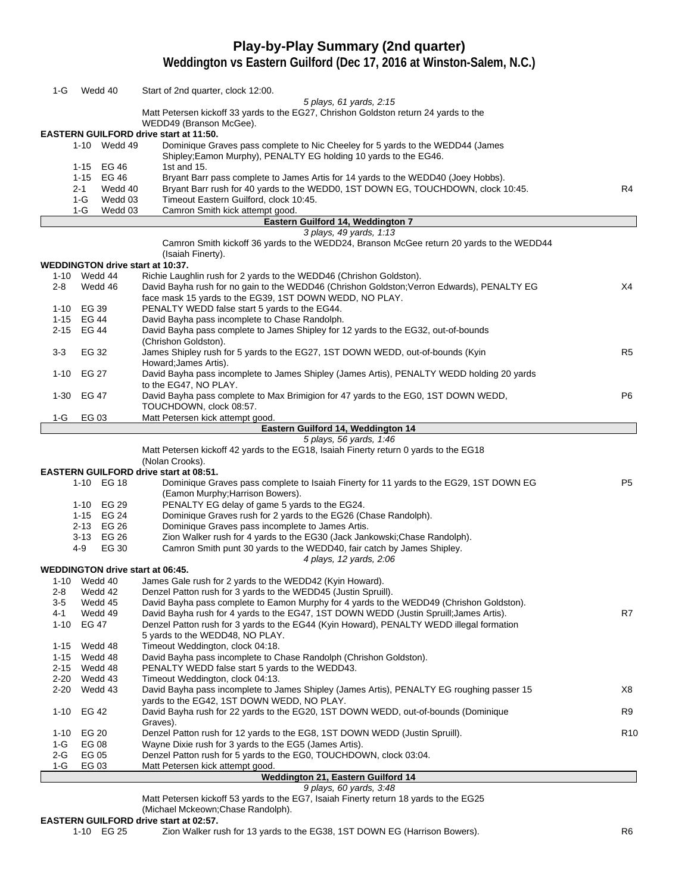## **Play-by-Play Summary (2nd quarter)**

**Weddington vs Eastern Guilford (Dec 17, 2016 at Winston-Salem, N.C.)**

| 1-G                  | Wedd 40                  | Start of 2nd quarter, clock 12:00.                                                                                                                                                 |                 |
|----------------------|--------------------------|------------------------------------------------------------------------------------------------------------------------------------------------------------------------------------|-----------------|
|                      |                          | 5 plays, 61 yards, 2:15                                                                                                                                                            |                 |
|                      |                          | Matt Petersen kickoff 33 yards to the EG27, Chrishon Goldston return 24 yards to the<br>WEDD49 (Branson McGee).                                                                    |                 |
|                      |                          | <b>EASTERN GUILFORD drive start at 11:50.</b>                                                                                                                                      |                 |
|                      | 1-10 Wedd 49             | Dominique Graves pass complete to Nic Cheeley for 5 yards to the WEDD44 (James<br>Shipley; Eamon Murphy), PENALTY EG holding 10 yards to the EG46.                                 |                 |
|                      | 1-15 EG 46               | 1st and 15.                                                                                                                                                                        |                 |
|                      | 1-15 EG 46               | Bryant Barr pass complete to James Artis for 14 yards to the WEDD40 (Joey Hobbs).                                                                                                  |                 |
|                      | $2 - 1$<br>Wedd 40       | Bryant Barr rush for 40 yards to the WEDD0, 1ST DOWN EG, TOUCHDOWN, clock 10:45.                                                                                                   | R4              |
|                      | Wedd 03<br>1-G           | Timeout Eastern Guilford, clock 10:45.                                                                                                                                             |                 |
|                      | $1-G$<br>Wedd 03         | Camron Smith kick attempt good.<br>Eastern Guilford 14, Weddington 7                                                                                                               |                 |
|                      |                          | 3 plays, 49 yards, 1:13                                                                                                                                                            |                 |
|                      |                          | Camron Smith kickoff 36 yards to the WEDD24, Branson McGee return 20 yards to the WEDD44                                                                                           |                 |
|                      |                          | (Isaiah Finerty).                                                                                                                                                                  |                 |
|                      |                          | <b>WEDDINGTON drive start at 10:37.</b>                                                                                                                                            |                 |
|                      | 1-10 Wedd 44             | Richie Laughlin rush for 2 yards to the WEDD46 (Chrishon Goldston).                                                                                                                |                 |
| $2 - 8$              | Wedd 46                  | David Bayha rush for no gain to the WEDD46 (Chrishon Goldston; Verron Edwards), PENALTY EG<br>face mask 15 yards to the EG39, 1ST DOWN WEDD, NO PLAY.                              | X4              |
|                      | 1-10 EG 39               | PENALTY WEDD false start 5 yards to the EG44.                                                                                                                                      |                 |
|                      | 1-15 EG 44               | David Bayha pass incomplete to Chase Randolph.                                                                                                                                     |                 |
|                      | 2-15 EG 44               | David Bayha pass complete to James Shipley for 12 yards to the EG32, out-of-bounds                                                                                                 |                 |
|                      |                          | (Chrishon Goldston).                                                                                                                                                               |                 |
| $3-3$                | EG 32                    | James Shipley rush for 5 yards to the EG27, 1ST DOWN WEDD, out-of-bounds (Kyin                                                                                                     | R <sub>5</sub>  |
|                      |                          | Howard; James Artis).                                                                                                                                                              |                 |
| $1 - 10$             | EG 27                    | David Bayha pass incomplete to James Shipley (James Artis), PENALTY WEDD holding 20 yards<br>to the EG47, NO PLAY.                                                                 |                 |
| $1-30$               | EG 47                    | David Bayha pass complete to Max Brimigion for 47 yards to the EG0, 1ST DOWN WEDD,                                                                                                 | P6              |
|                      |                          | TOUCHDOWN, clock 08:57.                                                                                                                                                            |                 |
| 1-G                  | EG 03                    | Matt Petersen kick attempt good.                                                                                                                                                   |                 |
|                      |                          | Eastern Guilford 14, Weddington 14                                                                                                                                                 |                 |
|                      |                          | 5 plays, 56 yards, 1:46<br>Matt Petersen kickoff 42 yards to the EG18, Isaiah Finerty return 0 yards to the EG18                                                                   |                 |
|                      |                          | (Nolan Crooks).                                                                                                                                                                    |                 |
|                      |                          | <b>EASTERN GUILFORD drive start at 08:51.</b>                                                                                                                                      |                 |
|                      | 1-10 EG 18               | Dominique Graves pass complete to Isaiah Finerty for 11 yards to the EG29, 1ST DOWN EG                                                                                             | P <sub>5</sub>  |
|                      |                          | (Eamon Murphy; Harrison Bowers).                                                                                                                                                   |                 |
|                      | 1-10 EG 29               | PENALTY EG delay of game 5 yards to the EG24.                                                                                                                                      |                 |
|                      | 1-15 EG 24               | Dominique Graves rush for 2 yards to the EG26 (Chase Randolph).                                                                                                                    |                 |
|                      | 2-13 EG 26<br>3-13 EG 26 | Dominique Graves pass incomplete to James Artis.<br>Zion Walker rush for 4 yards to the EG30 (Jack Jankowski; Chase Randolph).                                                     |                 |
|                      | EG 30<br>4-9             | Camron Smith punt 30 yards to the WEDD40, fair catch by James Shipley.                                                                                                             |                 |
|                      |                          | 4 plays, 12 yards, 2:06                                                                                                                                                            |                 |
|                      |                          | <b>WEDDINGTON drive start at 06:45.</b>                                                                                                                                            |                 |
|                      | 1-10 Wedd 40             | James Gale rush for 2 yards to the WEDD42 (Kyin Howard).                                                                                                                           |                 |
| $2 - 8$              | Wedd 42                  | Denzel Patton rush for 3 yards to the WEDD45 (Justin Spruill).                                                                                                                     |                 |
| 3-5<br>4-1           | Wedd 45<br>Wedd 49       | David Bayha pass complete to Eamon Murphy for 4 yards to the WEDD49 (Chrishon Goldston).<br>David Bayha rush for 4 yards to the EG47, 1ST DOWN WEDD (Justin Spruill; James Artis). | R7              |
| $1 - 10$             | EG 47                    | Denzel Patton rush for 3 yards to the EG44 (Kyin Howard), PENALTY WEDD illegal formation                                                                                           |                 |
|                      |                          | 5 yards to the WEDD48, NO PLAY.                                                                                                                                                    |                 |
| $1 - 15$             | Wedd 48                  | Timeout Weddington, clock 04:18.                                                                                                                                                   |                 |
| 1-15                 | Wedd 48                  | David Bayha pass incomplete to Chase Randolph (Chrishon Goldston).                                                                                                                 |                 |
| 2-15                 | Wedd 48                  | PENALTY WEDD false start 5 yards to the WEDD43.                                                                                                                                    |                 |
| $2 - 20$<br>$2 - 20$ | Wedd 43<br>Wedd 43       | Timeout Weddington, clock 04:13.<br>David Bayha pass incomplete to James Shipley (James Artis), PENALTY EG roughing passer 15                                                      | X8              |
|                      |                          | vards to the EG42, 1ST DOWN WEDD, NO PLAY.                                                                                                                                         |                 |
| $1 - 10$             | EG 42                    | David Bayha rush for 22 yards to the EG20, 1ST DOWN WEDD, out-of-bounds (Dominique                                                                                                 | R <sub>9</sub>  |
|                      |                          | Graves).                                                                                                                                                                           |                 |
| $1 - 10$             | <b>EG 20</b>             | Denzel Patton rush for 12 yards to the EG8, 1ST DOWN WEDD (Justin Spruill).                                                                                                        | R <sub>10</sub> |
| 1-G                  | EG 08                    | Wayne Dixie rush for 3 yards to the EG5 (James Artis).                                                                                                                             |                 |
| 2-G<br>1-G           | EG 05<br>EG 03           | Denzel Patton rush for 5 yards to the EG0, TOUCHDOWN, clock 03:04.<br>Matt Petersen kick attempt good.                                                                             |                 |
|                      |                          | Weddington 21, Eastern Guilford 14                                                                                                                                                 |                 |
|                      |                          | 9 plays, 60 yards, 3:48                                                                                                                                                            |                 |
|                      |                          |                                                                                                                                                                                    |                 |

Matt Petersen kickoff 53 yards to the EG7, Isaiah Finerty return 18 yards to the EG25

(Michael Mckeown;Chase Randolph).

# **EASTERN GUILFORD drive start at 02:57.**<br>1-10 EG 25 Zion Walker ru

Zion Walker rush for 13 yards to the EG38, 1ST DOWN EG (Harrison Bowers). The mass of the R6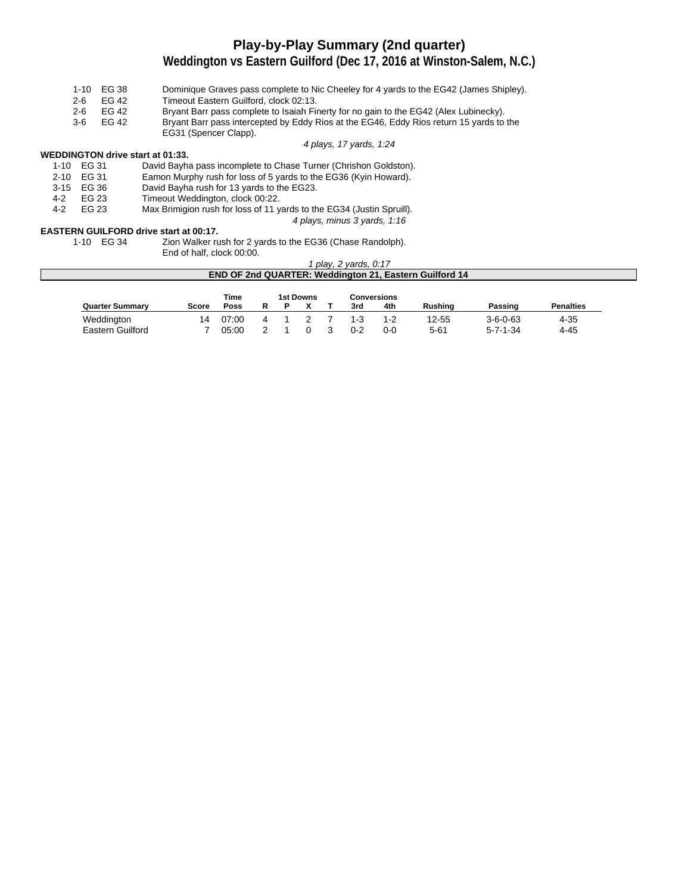### **Play-by-Play Summary (2nd quarter)**

#### **Weddington vs Eastern Guilford (Dec 17, 2016 at Winston-Salem, N.C.)**

- 1-10 EG 38 Dominique Graves pass complete to Nic Cheeley for 4 yards to the EG42 (James Shipley). 2-6 EG 42 Timeout Eastern Guilford, clock 02:13.<br>2-6 EG 42 Bryant Barr pass complete to Isaiah Fir Bryant Barr pass complete to Isaiah Finerty for no gain to the EG42 (Alex Lubinecky).
- 3-6 EG 42 Bryant Barr pass intercepted by Eddy Rios at the EG46, Eddy Rios return 15 yards to the
	- EG31 (Spencer Clapp).

4 plays, 17 yards, 1:24

4 plays, minus 3 yards, 1:16

#### **WEDDINGTON drive start at 01:33.**

|     | 1-10 EG 31 | David Bayha pass incomplete to Chase Turner (Chrishon Goldston).      |
|-----|------------|-----------------------------------------------------------------------|
|     | 2-10 EG 31 | Eamon Murphy rush for loss of 5 yards to the EG36 (Kyin Howard).      |
|     | 3-15 EG 36 | David Bayha rush for 13 yards to the EG23.                            |
| 4-2 | FG 23      | Timeout Weddington, clock 00:22.                                      |
| 4-2 | FG 23      | Max Brimigion rush for loss of 11 yards to the EG34 (Justin Spruill). |

## **EASTERN GUILFORD drive start at 00:17.**<br>1-10 EG 34 Zion Walker ru

Zion Walker rush for 2 yards to the EG36 (Chase Randolph).

End of half, clock 00:00.

#### 1 play, 2 yards, 0:17 **END OF 2nd QUARTER: Weddington 21, Eastern Guilford 14**

|                        |       | Time  |  | <b>1st Downs</b> |         | <b>Conversions</b> |                |                  |                  |
|------------------------|-------|-------|--|------------------|---------|--------------------|----------------|------------------|------------------|
| <b>Quarter Summary</b> | Score | Poss  |  |                  | 3rd     | 4th                | <b>Rushing</b> | Passing          | <b>Penalties</b> |
| Weddington             | 14    | 07:00 |  |                  | $1 - 3$ | $1 - 2$            | 12-55          | $3 - 6 - 0 - 63$ | 4-35             |
| Eastern Guilford       |       | 05:00 |  |                  | $0 - 2$ | $0 - 0$            | 5-61           | $5 - 7 - 1 - 34$ | 4-45             |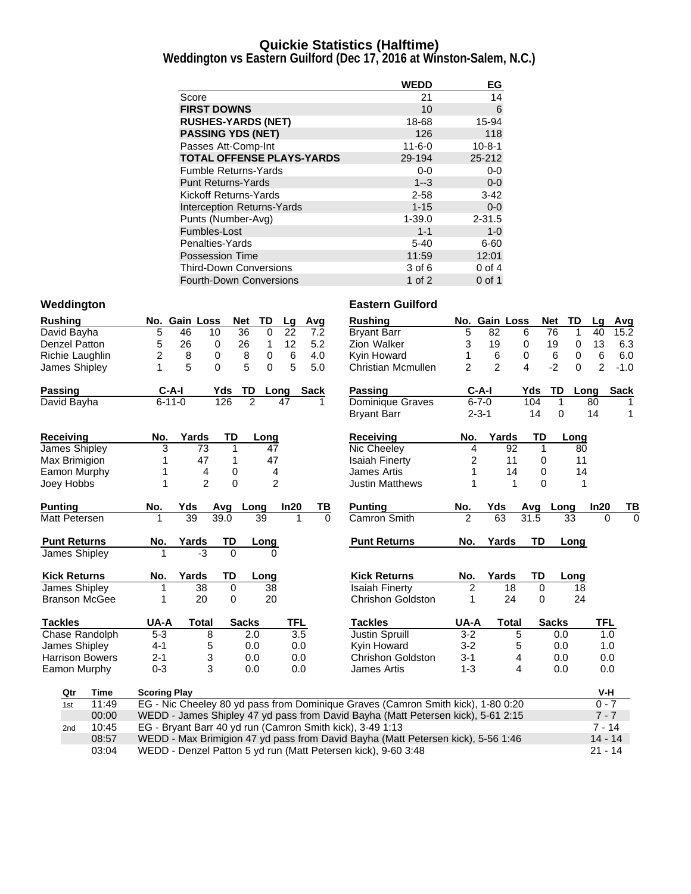#### **Quickie Statistics (Halftime)**

**Weddington vs Eastern Guilford (Dec 17, 2016 at Winston-Salem, N.C.)**

|                                   | <b>WEDD</b>  | EG           |
|-----------------------------------|--------------|--------------|
| Score                             | 21           | 14           |
| <b>FIRST DOWNS</b>                | 10           | 6            |
| <b>RUSHES-YARDS (NET)</b>         | 18-68        | 15-94        |
| <b>PASSING YDS (NET)</b>          | 126          | 118          |
| Passes Att-Comp-Int               | $11 - 6 - 0$ | $10 - 8 - 1$ |
| <b>TOTAL OFFENSE PLAYS-YARDS</b>  | 29-194       | 25-212       |
| <b>Fumble Returns-Yards</b>       | $0-0$        | $0-0$        |
| <b>Punt Returns-Yards</b>         | $1 - 3$      | $0-0$        |
| Kickoff Returns-Yards             | $2 - 58$     | $3 - 42$     |
| <b>Interception Returns-Yards</b> | $1 - 15$     | $0-0$        |
| Punts (Number-Avg)                | $1 - 39.0$   | $2 - 31.5$   |
| Fumbles-Lost                      | $1 - 1$      | $1 - 0$      |
| Penalties-Yards                   | $5 - 40$     | $6 - 60$     |
| <b>Possession Time</b>            | 11:59        | 12:01        |
| <b>Third-Down Conversions</b>     | 3 of 6       | $0$ of $4$   |
| <b>Fourth-Down Conversions</b>    | 1 of 2       | 0 of 1       |

| Rushing                |                     | No. Gain Loss   | <b>Net</b>     | TD             | Lg             | Avg  |          | <b>Rushing</b>                                                                   |                | No. Gain Loss  |              | Net<br>TD        | La             | Avg            |
|------------------------|---------------------|-----------------|----------------|----------------|----------------|------|----------|----------------------------------------------------------------------------------|----------------|----------------|--------------|------------------|----------------|----------------|
| David Bayha            | 5                   | 46<br>10        | 36             | 0              | 22             | 7.2  |          | <b>Bryant Barr</b>                                                               | 5              | 82             | 6            | 76<br>1          | 40             | 15.2           |
| Denzel Patton          | 5                   | 26              | 0<br>26        | $\mathbf{1}$   | 12             | 5.2  |          | Zion Walker                                                                      | 3              | 19             | 0            | 19<br>0          | 13             | 6.3            |
| Richie Laughlin        | $\overline{2}$      | 8               | 0<br>8         | 0              | 6              | 4.0  |          | Kyin Howard                                                                      | 1              | 6              | 0            | 6<br>0           | 6              | 6.0            |
| James Shipley          | 1                   | 5               | 5<br>0         | $\Omega$       | 5              | 5.0  |          | <b>Christian Mcmullen</b>                                                        | $\mathfrak{p}$ | $\overline{2}$ | 4            | $-2$<br>$\Omega$ | $\overline{2}$ | $-1.0$         |
| Passing                | $C-A-I$             |                 | Yds            | TD             | Long           | Sack |          | Passing                                                                          | $C-A-I$        |                | Yds          | TD<br>Long       |                | <b>Sack</b>    |
| David Bayha            | $6 - 11 - 0$        |                 | 126            | $\overline{2}$ | 47             |      |          | Dominique Graves                                                                 | $6 - 7 - 0$    |                | 104          | 1                | 80             |                |
|                        |                     |                 |                |                |                |      |          | <b>Bryant Barr</b>                                                               | $2 - 3 - 1$    |                | 14           | $\Omega$         | 14             | $\mathbf{1}$   |
| Receiving              | No.                 | Yards           | TD             | Long           |                |      |          | <b>Receiving</b>                                                                 | No.            | Yards          | TD           | Long             |                |                |
| James Shipley          | 3                   | 73              | 1              | 47             |                |      |          | Nic Cheeley                                                                      | 4              | 92             | $\mathbf{1}$ | 80               |                |                |
| Max Brimigion          |                     | 47              | 1              | 47             |                |      |          | <b>Isaiah Finerty</b>                                                            | 2              | 11             | 0            | 11               |                |                |
| Eamon Murphy           |                     | 4               | 0              |                | 4              |      |          | <b>James Artis</b>                                                               | 1              | 14             | 0            | 14               |                |                |
| Joey Hobbs             |                     | $\overline{2}$  | $\overline{0}$ |                | $\overline{2}$ |      |          | <b>Justin Matthews</b>                                                           |                | 1              | 0            | 1                |                |                |
| Punting                | No.                 | Yds             | Avg            | Long           | In20           |      | ΤВ       | <b>Punting</b>                                                                   | No.            | Yds            | Avg          | Long             | In20           | TВ             |
| Matt Petersen          | 1                   | $\overline{39}$ | 39.0           | 39             |                | 1    | $\Omega$ | Camron Smith                                                                     | $\overline{2}$ | 63             | 31.5         | 33               | $\Omega$       | $\overline{0}$ |
| <b>Punt Returns</b>    | No.                 | Yards           | TD             | Long           |                |      |          | <b>Punt Returns</b>                                                              | No.            | Yards          | TD           | Long             |                |                |
| James Shipley          |                     | -3              | $\Omega$       | $\Omega$       |                |      |          |                                                                                  |                |                |              |                  |                |                |
| <b>Kick Returns</b>    | No.                 | Yards           | TD             | Long           |                |      |          | <b>Kick Returns</b>                                                              | No.            | Yards          | TD           | Long             |                |                |
| James Shipley          |                     | 38              | 0              | 38             |                |      |          | <b>Isaiah Finerty</b>                                                            | $\overline{2}$ | 18             | $\mathbf 0$  | 18               |                |                |
| <b>Branson McGee</b>   | 1                   | 20              | 0              | 20             |                |      |          | <b>Chrishon Goldston</b>                                                         | 1              | 24             | 0            | 24               |                |                |
| <b>Tackles</b>         | UA-A                | <b>Total</b>    | <b>Sacks</b>   |                | TFL            |      |          | <b>Tackles</b>                                                                   | UA-A           | Total          |              | <b>Sacks</b>     | TFL            |                |
| <b>Chase Randolph</b>  | $5 - 3$             | 8               |                | 2.0            | 3.5            |      |          | <b>Justin Spruill</b>                                                            | $3-2$          | 5              |              | 0.0              | 1.0            |                |
| James Shipley          | $4 - 1$             | 5               |                | 0.0            | 0.0            |      |          | Kyin Howard                                                                      | $3 - 2$        | 5              |              | 0.0              | 1.0            |                |
| <b>Harrison Bowers</b> | $2 - 1$             | 3               |                | 0.0            | 0.0            |      |          | <b>Chrishon Goldston</b>                                                         | $3 - 1$        | 4              |              | 0.0              | 0.0            |                |
| Eamon Murphy           | $0 - 3$             | 3               |                | 0.0            | 0.0            |      |          | <b>James Artis</b>                                                               | $1 - 3$        | 4              |              | 0.0              | 0.0            |                |
| Qtr<br>Time            | <b>Scoring Play</b> |                 |                |                |                |      |          |                                                                                  |                |                |              |                  | V-H            |                |
| 11:49<br>1st           |                     |                 |                |                |                |      |          | EG - Nic Cheeley 80 yd pass from Dominique Graves (Camron Smith kick), 1-80 0:20 |                |                |              |                  | $0 - 7$        |                |
| 00:00                  |                     |                 |                |                |                |      |          | WEDD - James Shipley 47 yd pass from David Bayha (Matt Petersen kick), 5-61 2:15 |                |                |              |                  | $7 - 7$        |                |
| 10:45<br>2nd           |                     |                 |                |                |                |      |          | EG - Bryant Barr 40 yd run (Camron Smith kick), 3-49 1:13                        |                |                |              |                  | $7 - 14$       |                |
| 08:57                  |                     |                 |                |                |                |      |          | WEDD - Max Brimigion 47 yd pass from David Bayha (Matt Petersen kick), 5-56 1:46 |                |                |              |                  | $14 - 14$      |                |
| 03:04                  |                     |                 |                |                |                |      |          | WEDD - Denzel Patton 5 yd run (Matt Petersen kick), 9-60 3:48                    |                |                |              |                  | $21 - 14$      |                |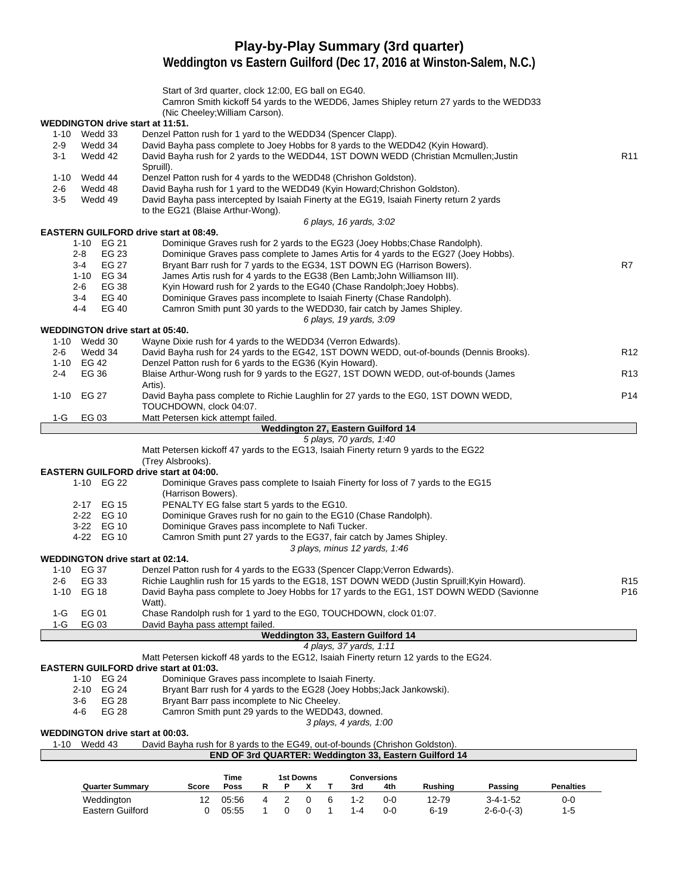## **Play-by-Play Summary (3rd quarter)**

**Weddington vs Eastern Guilford (Dec 17, 2016 at Winston-Salem, N.C.)**

|         |                         | Start of 3rd quarter, clock 12:00, EG ball on EG40.<br>Camron Smith kickoff 54 yards to the WEDD6, James Shipley return 27 yards to the WEDD33 |                  |
|---------|-------------------------|------------------------------------------------------------------------------------------------------------------------------------------------|------------------|
|         |                         | (Nic Cheeley; William Carson).                                                                                                                 |                  |
|         |                         | <b>WEDDINGTON drive start at 11:51.</b>                                                                                                        |                  |
|         | 1-10 Wedd 33            | Denzel Patton rush for 1 yard to the WEDD34 (Spencer Clapp).                                                                                   |                  |
| $2 - 9$ | Wedd 34                 | David Bayha pass complete to Joey Hobbs for 8 yards to the WEDD42 (Kyin Howard).                                                               |                  |
| $3 - 1$ | Wedd 42                 | David Bayha rush for 2 yards to the WEDD44, 1ST DOWN WEDD (Christian Mcmullen; Justin                                                          | R <sub>11</sub>  |
|         |                         | Spruill).                                                                                                                                      |                  |
|         | 1-10 Wedd 44            | Denzel Patton rush for 4 yards to the WEDD48 (Chrishon Goldston).                                                                              |                  |
| $2 - 6$ | Wedd 48                 | David Bayha rush for 1 yard to the WEDD49 (Kyin Howard; Chrishon Goldston).                                                                    |                  |
| $3-5$   | Wedd 49                 | David Bayha pass intercepted by Isaiah Finerty at the EG19, Isaiah Finerty return 2 yards                                                      |                  |
|         |                         | to the EG21 (Blaise Arthur-Wong).                                                                                                              |                  |
|         |                         | 6 plays, 16 yards, 3:02                                                                                                                        |                  |
|         |                         | <b>EASTERN GUILFORD drive start at 08:49.</b>                                                                                                  |                  |
|         | 1-10 EG 21              | Dominique Graves rush for 2 yards to the EG23 (Joey Hobbs; Chase Randolph).                                                                    |                  |
|         | $2 - 8$<br>EG 23        | Dominique Graves pass complete to James Artis for 4 yards to the EG27 (Joey Hobbs).                                                            |                  |
|         | EG 27<br>3-4            | Bryant Barr rush for 7 yards to the EG34, 1ST DOWN EG (Harrison Bowers).                                                                       | R7               |
|         | 1-10 EG 34              | James Artis rush for 4 yards to the EG38 (Ben Lamb; John Williamson III).                                                                      |                  |
|         | EG 38<br>$2 - 6$        | Kyin Howard rush for 2 yards to the EG40 (Chase Randolph; Joey Hobbs).                                                                         |                  |
|         | EG 40<br>$3 - 4$        | Dominique Graves pass incomplete to Isaiah Finerty (Chase Randolph).                                                                           |                  |
|         | <b>EG 40</b><br>$4 - 4$ | Camron Smith punt 30 yards to the WEDD30, fair catch by James Shipley.                                                                         |                  |
|         |                         | 6 plays, 19 yards, 3:09                                                                                                                        |                  |
|         |                         | <b>WEDDINGTON drive start at 05:40.</b>                                                                                                        |                  |
|         | 1-10 Wedd 30            | Wayne Dixie rush for 4 yards to the WEDD34 (Verron Edwards).                                                                                   |                  |
|         |                         |                                                                                                                                                |                  |
| $2 - 6$ | Wedd 34                 | David Bayha rush for 24 yards to the EG42, 1ST DOWN WEDD, out-of-bounds (Dennis Brooks).                                                       | R <sub>12</sub>  |
|         | 1-10 EG 42              | Denzel Patton rush for 6 yards to the EG36 (Kyin Howard).                                                                                      |                  |
| $2 - 4$ | EG 36                   | Blaise Arthur-Wong rush for 9 yards to the EG27, 1ST DOWN WEDD, out-of-bounds (James                                                           | R <sub>13</sub>  |
|         |                         | Artis).                                                                                                                                        |                  |
| 1-10    | EG 27                   | David Bayha pass complete to Richie Laughlin for 27 yards to the EG0, 1ST DOWN WEDD,                                                           | P <sub>14</sub>  |
|         |                         | TOUCHDOWN, clock 04:07.                                                                                                                        |                  |
| 1-G     | EG 03                   | Matt Petersen kick attempt failed.                                                                                                             |                  |
|         |                         | Weddington 27, Eastern Guilford 14                                                                                                             |                  |
|         |                         | 5 plays, 70 yards, 1:40                                                                                                                        |                  |
|         |                         | Matt Petersen kickoff 47 yards to the EG13, Isaiah Finerty return 9 yards to the EG22                                                          |                  |
|         |                         | (Trey Alsbrooks).                                                                                                                              |                  |
|         |                         | <b>EASTERN GUILFORD drive start at 04:00.</b>                                                                                                  |                  |
|         | 1-10 EG 22              | Dominique Graves pass complete to Isaiah Finerty for loss of 7 yards to the EG15                                                               |                  |
|         |                         | (Harrison Bowers).                                                                                                                             |                  |
|         | 2-17 EG 15              | PENALTY EG false start 5 yards to the EG10.                                                                                                    |                  |
|         |                         |                                                                                                                                                |                  |
|         | 2-22 EG 10              | Dominique Graves rush for no gain to the EG10 (Chase Randolph).                                                                                |                  |
|         | 3-22 EG 10              | Dominique Graves pass incomplete to Nafi Tucker.                                                                                               |                  |
|         | 4-22 EG 10              | Camron Smith punt 27 yards to the EG37, fair catch by James Shipley.                                                                           |                  |
|         |                         | 3 plays, minus 12 yards, 1:46                                                                                                                  |                  |
|         |                         | <b>WEDDINGTON drive start at 02:14.</b>                                                                                                        |                  |
|         | 1-10 EG 37              | Denzel Patton rush for 4 yards to the EG33 (Spencer Clapp; Verron Edwards).                                                                    |                  |
| $2-6$   | EG 33                   | Richie Laughlin rush for 15 yards to the EG18, 1ST DOWN WEDD (Justin Spruill; Kyin Howard).                                                    | R <sub>15</sub>  |
| 1-10    | EG 18                   | David Bayha pass complete to Joey Hobbs for 17 yards to the EG1, 1ST DOWN WEDD (Savionne                                                       | P16              |
|         |                         | Watt).                                                                                                                                         |                  |
| 1-G     | EG 01                   | Chase Randolph rush for 1 yard to the EG0, TOUCHDOWN, clock 01:07.                                                                             |                  |
| $1-G$   | EG 03                   | David Bayha pass attempt failed.                                                                                                               |                  |
|         |                         | Weddington 33, Eastern Guilford 14                                                                                                             |                  |
|         |                         | 4 plays, 37 yards, 1:11                                                                                                                        |                  |
|         |                         | Matt Petersen kickoff 48 yards to the EG12, Isaiah Finerty return 12 yards to the EG24.                                                        |                  |
|         |                         | <b>EASTERN GUILFORD drive start at 01:03.</b>                                                                                                  |                  |
|         | 1-10 EG 24              | Dominique Graves pass incomplete to Isaiah Finerty.                                                                                            |                  |
|         | 2-10 EG 24              | Bryant Barr rush for 4 yards to the EG28 (Joey Hobbs; Jack Jankowski).                                                                         |                  |
|         | <b>EG 28</b>            | Bryant Barr pass incomplete to Nic Cheeley.                                                                                                    |                  |
|         | 3-6                     |                                                                                                                                                |                  |
|         | EG 28<br>4-6            | Camron Smith punt 29 yards to the WEDD43, downed.                                                                                              |                  |
|         |                         | 3 plays, 4 yards, 1:00                                                                                                                         |                  |
|         |                         | WEDDINGTON drive start at 00:03.                                                                                                               |                  |
| 1-10    | Wedd 43                 | David Bayha rush for 8 yards to the EG49, out-of-bounds (Chrishon Goldston).                                                                   |                  |
|         |                         | END OF 3rd QUARTER: Weddington 33, Eastern Guilford 14                                                                                         |                  |
|         |                         |                                                                                                                                                |                  |
|         |                         | <b>1st Downs</b><br><b>Conversions</b><br>Time<br>R<br>Т                                                                                       | <b>Penalties</b> |
|         | <b>Quarter Summary</b>  | <b>Rushing</b><br>Score<br>Poss<br>P<br>x<br>3rd<br>4th<br>Passing                                                                             |                  |

Weddington 12 05:56 4 2 0 6 1-2 0-0 12-79 3-4-1-52 0-0 Eastern Guilford 0 05:55 1 0 0 1 1-4 0-0 6-19 2-6-0-(-3) 1-5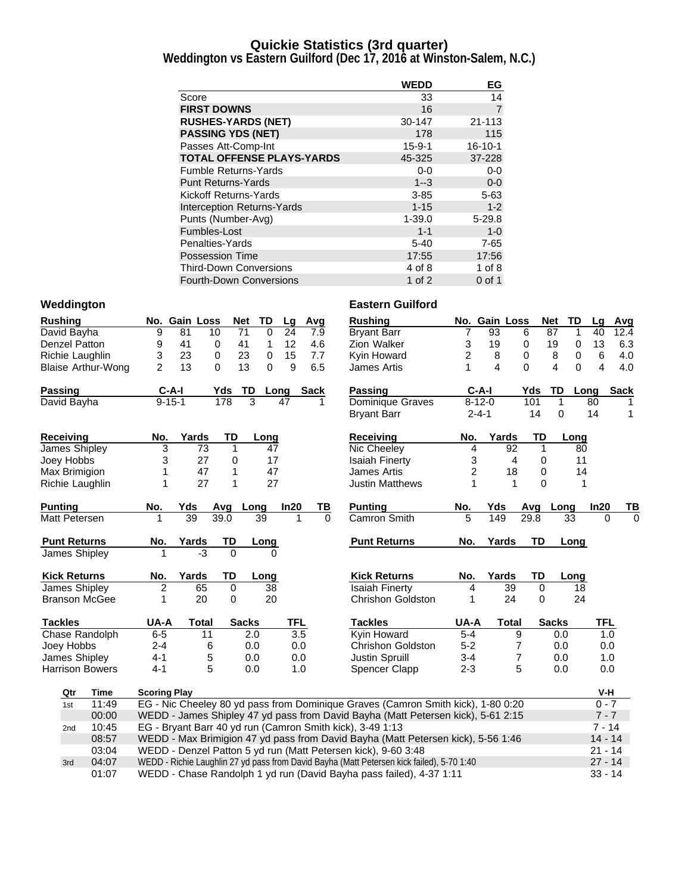#### **Quickie Statistics (3rd quarter)**

**Weddington vs Eastern Guilford (Dec 17, 2016 at Winston-Salem, N.C.)**

|                                   | <b>WEDD</b>  | EG             |
|-----------------------------------|--------------|----------------|
| Score                             | 33           | 14             |
| <b>FIRST DOWNS</b>                | 16           | $\overline{7}$ |
| <b>RUSHES-YARDS (NET)</b>         | 30-147       | $21 - 113$     |
| <b>PASSING YDS (NET)</b>          | 178          | 115            |
| Passes Att-Comp-Int               | $15 - 9 - 1$ | $16 - 10 - 1$  |
| <b>TOTAL OFFENSE PLAYS-YARDS</b>  | 45-325       | 37-228         |
| <b>Fumble Returns-Yards</b>       | $0-0$        | $0-0$          |
| <b>Punt Returns-Yards</b>         | $1 - 3$      | $0-0$          |
| Kickoff Returns-Yards             | $3 - 85$     | $5 - 63$       |
| <b>Interception Returns-Yards</b> | $1 - 15$     | $1 - 2$        |
| Punts (Number-Avg)                | $1 - 39.0$   | $5 - 29.8$     |
| Fumbles-Lost                      | $1 - 1$      | $1-0$          |
| Penalties-Yards                   | $5 - 40$     | $7 - 65$       |
| <b>Possession Time</b>            | 17:55        | 17:56          |
| <b>Third-Down Conversions</b>     | 4 of 8       | 1 of $8$       |
| <b>Fourth-Down Conversions</b>    | 1 of $2$     | $0$ of 1       |

| <b>Rushing</b>         |                           |                                                                       | No. Gain Loss |                | <b>Net</b>   | TD          | Lg               | Avg         | <b>Rushing</b>                                                                            |                | No. Gain Loss   |                | Net<br>TD     | Lq             | Avg         |
|------------------------|---------------------------|-----------------------------------------------------------------------|---------------|----------------|--------------|-------------|------------------|-------------|-------------------------------------------------------------------------------------------|----------------|-----------------|----------------|---------------|----------------|-------------|
| David Bayha            |                           | 9                                                                     | 81            | 10             | 71           | $\mathbf 0$ | 24               | 7.9         | <b>Bryant Barr</b>                                                                        | 7              | 93              | 6              | 87<br>1       | 40             | 12.4        |
| Denzel Patton          |                           | 9                                                                     | 41            | 0              | 41           | 1           | 12               | 4.6         | Zion Walker                                                                               | 3              | 19              | 0              | 19<br>0       | 13             | 6.3         |
| Richie Laughlin        |                           | 3                                                                     | 23            | 0              | 23           | 0           | 15               | 7.7         | Kyin Howard                                                                               | $\overline{2}$ | 8               | 0              | 8<br>0        | 6              | 4.0         |
|                        | <b>Blaise Arthur-Wong</b> | $\mathfrak{p}$                                                        | 13            | $\Omega$       | 13           | $\Omega$    | 9                | 6.5         | James Artis                                                                               | 1              | 4               | $\Omega$       | 4<br>$\Omega$ | $\overline{4}$ | 4.0         |
| Passing                |                           | $C-A-I$                                                               |               | Yds            | TD           | Long        |                  | <b>Sack</b> | <b>Passing</b>                                                                            | $C-A-I$        |                 | Yds            | TD<br>Long    |                | <b>Sack</b> |
| David Bayha            |                           | $9 - 15 - 1$                                                          |               | 178            | 3            |             | 47               | 1           | <b>Dominique Graves</b>                                                                   | $8 - 12 - 0$   |                 | 101            | $\mathbf{1}$  | 80             | 1           |
|                        |                           |                                                                       |               |                |              |             |                  |             | <b>Bryant Barr</b>                                                                        | $2 - 4 - 1$    |                 | 14             | 0             | 14             | 1           |
| Receiving              |                           | No.                                                                   | Yards         | TD             |              | Long        |                  |             | <b>Receiving</b>                                                                          | No.            | Yards           | TD             | Long          |                |             |
| James Shipley          |                           | 3                                                                     | 73            | 1              |              | 47          |                  |             | Nic Cheeley                                                                               | 4              | 92              | 1              | 80            |                |             |
| Joey Hobbs             |                           | 3                                                                     | 27            | 0              |              | 17          |                  |             | <b>Isaiah Finerty</b>                                                                     | 3              | 4               | 0              | 11            |                |             |
| Max Brimigion          |                           | 1                                                                     | 47            | 1              |              | 47          |                  |             | <b>James Artis</b>                                                                        | $\overline{2}$ | 18              | 0              | 14            |                |             |
| Richie Laughlin        |                           | 1                                                                     | 27            | 1              |              | 27          |                  |             | <b>Justin Matthews</b>                                                                    |                | 1               | $\Omega$       | 1             |                |             |
| Punting                |                           | No.                                                                   | Yds           | Avg Long       |              |             | In20             | ΤВ          | <b>Punting</b>                                                                            | No.            | Yds             |                | Avg Long      | In20           | TВ          |
| Matt Petersen          |                           | 1                                                                     | 39            | 39.0           | 39           |             | 1                | $\Omega$    | Camron Smith                                                                              | 5              | 149             | 29.8           | 33            | $\Omega$       | $\Omega$    |
| <b>Punt Returns</b>    |                           | No.                                                                   | Yards         | TD             |              | Long        |                  |             | <b>Punt Returns</b>                                                                       | No.            | Yards           | <b>TD</b>      | Long          |                |             |
| James Shipley          |                           |                                                                       | -3            | $\Omega$       |              | $\Omega$    |                  |             |                                                                                           |                |                 |                |               |                |             |
| <b>Kick Returns</b>    |                           | No.                                                                   | Yards         | TD             |              | Long        |                  |             | <b>Kick Returns</b>                                                                       | No.            | Yards           | TD             | Long          |                |             |
| James Shipley          |                           | $\overline{c}$                                                        | 65            | $\overline{0}$ |              | 38          |                  |             | <b>Isaiah Finerty</b>                                                                     | 4              | $\overline{39}$ | $\overline{0}$ | 18            |                |             |
| <b>Branson McGee</b>   |                           | 1                                                                     | 20            | 0              |              | 20          |                  |             | <b>Chrishon Goldston</b>                                                                  | 1              | 24              | $\mathbf 0$    | 24            |                |             |
| <b>Tackles</b>         |                           | UA-A                                                                  | <b>Total</b>  |                | <b>Sacks</b> |             | TFL              |             | <b>Tackles</b>                                                                            | UA-A           | <b>Total</b>    |                | <b>Sacks</b>  | TFL            |             |
| Chase Randolph         |                           | $6-5$                                                                 |               | 11             | 2.0          |             | $\overline{3.5}$ |             | Kyin Howard                                                                               | $5-4$          |                 | 9              | 0.0           | 1.0            |             |
| Joey Hobbs             |                           | $2 - 4$                                                               |               | 6              | 0.0          |             | 0.0              |             | <b>Chrishon Goldston</b>                                                                  | $5-2$          |                 | $\overline{7}$ | 0.0           | 0.0            |             |
| James Shipley          |                           | $4 - 1$                                                               |               | 5              | 0.0          |             | 0.0              |             | Justin Spruill                                                                            | $3 - 4$        |                 | $\overline{7}$ | 0.0           | 1.0            |             |
| <b>Harrison Bowers</b> |                           | $4 - 1$                                                               |               | 5              | 0.0          |             | 1.0              |             | <b>Spencer Clapp</b>                                                                      | $2 - 3$        |                 | 5              | 0.0           | 0.0            |             |
| Qtr                    | <b>Time</b>               | <b>Scoring Play</b>                                                   |               |                |              |             |                  |             |                                                                                           |                |                 |                |               | V-H            |             |
| 1st                    | 11:49                     |                                                                       |               |                |              |             |                  |             | EG - Nic Cheeley 80 yd pass from Dominique Graves (Camron Smith kick), 1-80 0:20          |                |                 |                |               | $0 - 7$        |             |
|                        | 00:00                     |                                                                       |               |                |              |             |                  |             | WEDD - James Shipley 47 yd pass from David Bayha (Matt Petersen kick), 5-61 2:15          |                |                 |                |               | $7 - 7$        |             |
| 2 <sub>nd</sub>        | 10:45                     | EG - Bryant Barr 40 yd run (Camron Smith kick), 3-49 1:13<br>$7 - 14$ |               |                |              |             |                  |             |                                                                                           |                |                 |                |               |                |             |
|                        | 08:57                     |                                                                       |               |                |              |             |                  |             | WEDD - Max Brimigion 47 yd pass from David Bayha (Matt Petersen kick), 5-56 1:46          |                |                 |                |               | $14 - 14$      |             |
|                        | 03:04                     |                                                                       |               |                |              |             |                  |             | WEDD - Denzel Patton 5 yd run (Matt Petersen kick), 9-60 3:48                             |                |                 |                |               | $21 - 14$      |             |
| 3rd                    | 04:07                     |                                                                       |               |                |              |             |                  |             | WEDD - Richie Laughlin 27 yd pass from David Bayha (Matt Petersen kick failed), 5-70 1:40 |                |                 |                |               | $27 - 14$      |             |
|                        | 01:07                     |                                                                       |               |                |              |             |                  |             | WEDD - Chase Randolph 1 yd run (David Bayha pass failed), 4-37 1:11                       |                |                 |                |               | $33 - 14$      |             |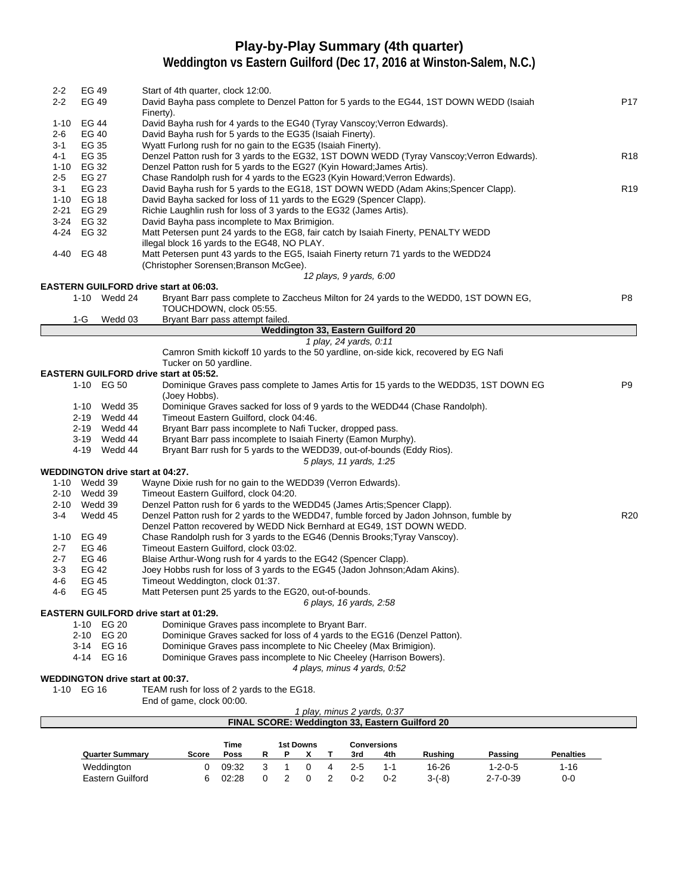## **Play-by-Play Summary (4th quarter)**

**Weddington vs Eastern Guilford (Dec 17, 2016 at Winston-Salem, N.C.)**

| $2 - 2$          | EG 49          |                        | Start of 4th quarter, clock 12:00.                                                                                                                                 |                  |
|------------------|----------------|------------------------|--------------------------------------------------------------------------------------------------------------------------------------------------------------------|------------------|
| $2 - 2$          | EG 49          |                        | David Bayha pass complete to Denzel Patton for 5 yards to the EG44, 1ST DOWN WEDD (Isaiah                                                                          | P17              |
|                  |                |                        | Finerty).                                                                                                                                                          |                  |
|                  | 1-10 EG 44     |                        | David Bayha rush for 4 yards to the EG40 (Tyray Vanscoy; Verron Edwards).                                                                                          |                  |
| 2-6              | EG 40          |                        | David Bayha rush for 5 yards to the EG35 (Isaiah Finerty).                                                                                                         |                  |
| 3-1              | EG 35          |                        | Wyatt Furlong rush for no gain to the EG35 (Isaiah Finerty).                                                                                                       |                  |
| 4-1              | EG 35          |                        | Denzel Patton rush for 3 yards to the EG32, 1ST DOWN WEDD (Tyray Vanscoy; Verron Edwards).                                                                         | R <sub>18</sub>  |
|                  | 1-10 EG 32     |                        | Denzel Patton rush for 5 yards to the EG27 (Kyin Howard; James Artis).                                                                                             |                  |
| 2-5<br>3-1       | EG 27<br>EG 23 |                        | Chase Randolph rush for 4 yards to the EG23 (Kyin Howard; Verron Edwards).<br>David Bayha rush for 5 yards to the EG18, 1ST DOWN WEDD (Adam Akins; Spencer Clapp). | R <sub>19</sub>  |
|                  | 1-10 EG 18     |                        | David Bayha sacked for loss of 11 yards to the EG29 (Spencer Clapp).                                                                                               |                  |
|                  | 2-21 EG 29     |                        | Richie Laughlin rush for loss of 3 yards to the EG32 (James Artis).                                                                                                |                  |
|                  | 3-24 EG 32     |                        | David Bayha pass incomplete to Max Brimigion.                                                                                                                      |                  |
|                  | 4-24 EG 32     |                        | Matt Petersen punt 24 yards to the EG8, fair catch by Isaiah Finerty, PENALTY WEDD                                                                                 |                  |
|                  |                |                        | illegal block 16 yards to the EG48, NO PLAY.                                                                                                                       |                  |
|                  | 4-40 EG 48     |                        | Matt Petersen punt 43 yards to the EG5, Isaiah Finerty return 71 yards to the WEDD24                                                                               |                  |
|                  |                |                        | (Christopher Sorensen; Branson McGee).                                                                                                                             |                  |
|                  |                |                        | 12 plays, 9 yards, 6:00                                                                                                                                            |                  |
|                  |                |                        | <b>EASTERN GUILFORD drive start at 06:03.</b>                                                                                                                      |                  |
|                  |                | 1-10 Wedd 24           | Bryant Barr pass complete to Zaccheus Milton for 24 yards to the WEDD0, 1ST DOWN EG,                                                                               | P8               |
|                  |                |                        | TOUCHDOWN, clock 05:55.                                                                                                                                            |                  |
|                  | 1-G            | Wedd 03                | Bryant Barr pass attempt failed.                                                                                                                                   |                  |
|                  |                |                        | Weddington 33, Eastern Guilford 20                                                                                                                                 |                  |
|                  |                |                        | 1 play, 24 yards, 0:11                                                                                                                                             |                  |
|                  |                |                        | Camron Smith kickoff 10 yards to the 50 yardline, on-side kick, recovered by EG Nafi                                                                               |                  |
|                  |                |                        | Tucker on 50 yardline.<br><b>EASTERN GUILFORD drive start at 05:52.</b>                                                                                            |                  |
|                  |                | 1-10 EG 50             | Dominique Graves pass complete to James Artis for 15 yards to the WEDD35, 1ST DOWN EG                                                                              | P9               |
|                  |                |                        | (Joey Hobbs).                                                                                                                                                      |                  |
|                  |                | 1-10 Wedd 35           | Dominique Graves sacked for loss of 9 yards to the WEDD44 (Chase Randolph).                                                                                        |                  |
|                  |                | 2-19 Wedd 44           | Timeout Eastern Guilford, clock 04:46.                                                                                                                             |                  |
|                  |                | 2-19 Wedd 44           | Bryant Barr pass incomplete to Nafi Tucker, dropped pass.                                                                                                          |                  |
|                  |                | 3-19 Wedd 44           | Bryant Barr pass incomplete to Isaiah Finerty (Eamon Murphy).                                                                                                      |                  |
|                  |                | 4-19 Wedd 44           | Bryant Barr rush for 5 yards to the WEDD39, out-of-bounds (Eddy Rios).                                                                                             |                  |
|                  |                |                        | 5 plays, 11 yards, 1:25                                                                                                                                            |                  |
|                  |                |                        | <b>WEDDINGTON drive start at 04:27.</b>                                                                                                                            |                  |
|                  | 1-10 Wedd 39   |                        | Wayne Dixie rush for no gain to the WEDD39 (Verron Edwards).                                                                                                       |                  |
|                  | 2-10 Wedd 39   |                        | Timeout Eastern Guilford, clock 04:20.                                                                                                                             |                  |
|                  | 2-10 Wedd 39   |                        | Denzel Patton rush for 6 yards to the WEDD45 (James Artis; Spencer Clapp).                                                                                         |                  |
| $3-4$            |                | Wedd 45                | Denzel Patton rush for 2 yards to the WEDD47, fumble forced by Jadon Johnson, fumble by                                                                            | <b>R20</b>       |
|                  |                |                        | Denzel Patton recovered by WEDD Nick Bernhard at EG49, 1ST DOWN WEDD.                                                                                              |                  |
|                  | 1-10 EG 49     |                        | Chase Randolph rush for 3 yards to the EG46 (Dennis Brooks; Tyray Vanscoy).                                                                                        |                  |
| $2 - 7$          | EG 46          |                        | Timeout Eastern Guilford, clock 03:02.                                                                                                                             |                  |
| $2 - 7$<br>$3-3$ | EG 46<br>EG 42 |                        | Blaise Arthur-Wong rush for 4 yards to the EG42 (Spencer Clapp).<br>Joey Hobbs rush for loss of 3 yards to the EG45 (Jadon Johnson; Adam Akins).                   |                  |
| 4-6              | EG 45          |                        | Timeout Weddington, clock 01:37.                                                                                                                                   |                  |
| 4-6              | <b>EG 45</b>   |                        | Matt Petersen punt 25 yards to the EG20, out-of-bounds.                                                                                                            |                  |
|                  |                |                        | 6 plays, 16 yards, 2:58                                                                                                                                            |                  |
|                  |                |                        | <b>EASTERN GUILFORD drive start at 01:29.</b>                                                                                                                      |                  |
|                  | $1 - 10$       | <b>EG 20</b>           | Dominique Graves pass incomplete to Bryant Barr.                                                                                                                   |                  |
|                  | 2-10           | EG 20                  | Dominique Graves sacked for loss of 4 yards to the EG16 (Denzel Patton).                                                                                           |                  |
|                  | 3-14           | EG 16                  | Dominique Graves pass incomplete to Nic Cheeley (Max Brimigion).                                                                                                   |                  |
|                  |                | 4-14 EG 16             | Dominique Graves pass incomplete to Nic Cheeley (Harrison Bowers).                                                                                                 |                  |
|                  |                |                        | 4 plays, minus 4 yards, 0:52                                                                                                                                       |                  |
|                  |                |                        | <b>WEDDINGTON drive start at 00:37.</b>                                                                                                                            |                  |
|                  | 1-10 EG 16     |                        | TEAM rush for loss of 2 yards to the EG18.                                                                                                                         |                  |
|                  |                |                        | End of game, clock 00:00.                                                                                                                                          |                  |
|                  |                |                        | 1 play, minus 2 yards, 0:37                                                                                                                                        |                  |
|                  |                |                        | FINAL SCORE: Weddington 33, Eastern Guilford 20                                                                                                                    |                  |
|                  |                |                        |                                                                                                                                                                    |                  |
|                  |                | <b>Quarter Summary</b> | Time<br>1st Downs<br><b>Conversions</b><br>Poss<br>R<br>P<br>X<br>3rd<br><b>Rushing</b><br>Passing<br>Score<br>Т<br>4th                                            | <b>Penalties</b> |
|                  |                |                        |                                                                                                                                                                    |                  |

Weddington 0 09:32 3 1 0 4 2-5 1-1 16-26 1-2-0-5 1-16 Eastern Guilford 6 02:28 0 2 0 2 0-2 0-2 3-(-8) 2-7-0-39 0-0